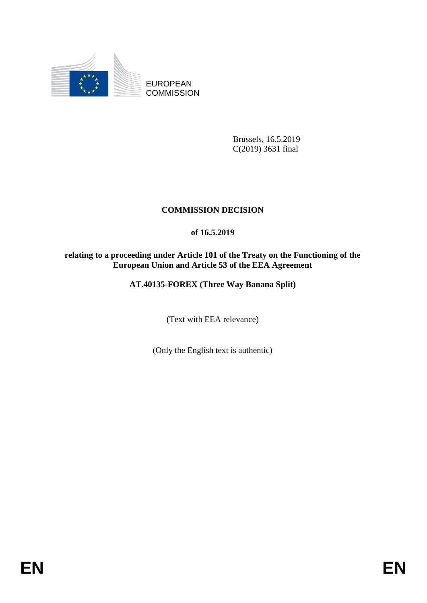

EUROPEAN **COMMISSION** 

> Brussels, 16.5.2019 C(2019) 3631 final

# **COMMISSION DECISION**

# **of 16.5.2019**

## **relating to a proceeding under Article 101 of the Treaty on the Functioning of the European Union and Article 53 of the EEA Agreement**

# **AT.40135-FOREX (Three Way Banana Split)**

(Text with EEA relevance)

(Only the English text is authentic)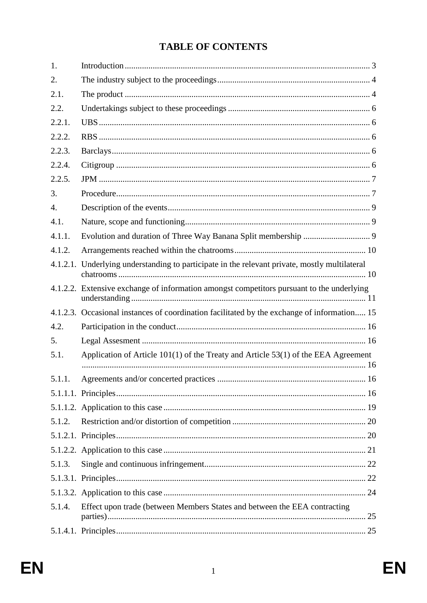# **TABLE OF CONTENTS**

| 1.     |                                                                                               |  |
|--------|-----------------------------------------------------------------------------------------------|--|
| 2.     |                                                                                               |  |
| 2.1.   |                                                                                               |  |
| 2.2.   |                                                                                               |  |
| 2.2.1. |                                                                                               |  |
| 2.2.2. |                                                                                               |  |
| 2.2.3. |                                                                                               |  |
| 2.2.4. |                                                                                               |  |
| 2.2.5. |                                                                                               |  |
| 3.     |                                                                                               |  |
| 4.     |                                                                                               |  |
| 4.1.   |                                                                                               |  |
| 4.1.1. |                                                                                               |  |
| 4.1.2. |                                                                                               |  |
|        | 4.1.2.1. Underlying understanding to participate in the relevant private, mostly multilateral |  |
|        | 4.1.2.2. Extensive exchange of information amongst competitors pursuant to the underlying     |  |
|        | 4.1.2.3. Occasional instances of coordination facilitated by the exchange of information 15   |  |
| 4.2.   |                                                                                               |  |
| 5.     |                                                                                               |  |
| 5.1.   | Application of Article $101(1)$ of the Treaty and Article 53(1) of the EEA Agreement          |  |
| 5.1.1. |                                                                                               |  |
|        |                                                                                               |  |
|        |                                                                                               |  |
| 5.1.2. |                                                                                               |  |
|        |                                                                                               |  |
|        |                                                                                               |  |
| 5.1.3. |                                                                                               |  |
|        |                                                                                               |  |
|        |                                                                                               |  |
| 5.1.4. | Effect upon trade (between Members States and between the EEA contracting                     |  |
|        |                                                                                               |  |
|        |                                                                                               |  |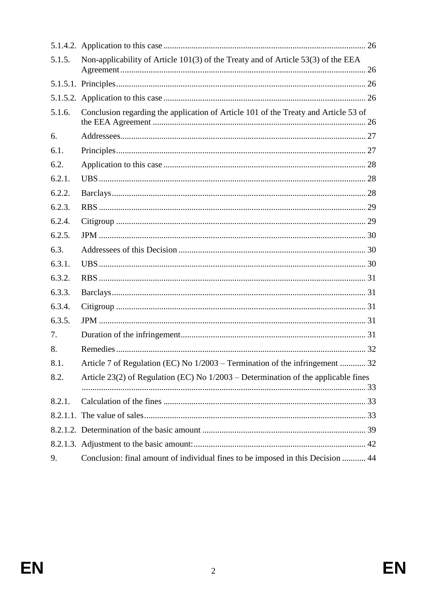| 5.1.5. | Non-applicability of Article 101(3) of the Treaty and of Article 53(3) of the EEA    |  |
|--------|--------------------------------------------------------------------------------------|--|
|        |                                                                                      |  |
|        |                                                                                      |  |
| 5.1.6. | Conclusion regarding the application of Article 101 of the Treaty and Article 53 of  |  |
| 6.     |                                                                                      |  |
| 6.1.   |                                                                                      |  |
| 6.2.   |                                                                                      |  |
| 6.2.1. |                                                                                      |  |
| 6.2.2. |                                                                                      |  |
| 6.2.3. |                                                                                      |  |
| 6.2.4. |                                                                                      |  |
| 6.2.5. |                                                                                      |  |
| 6.3.   |                                                                                      |  |
| 6.3.1. |                                                                                      |  |
| 6.3.2. |                                                                                      |  |
| 6.3.3. |                                                                                      |  |
| 6.3.4. |                                                                                      |  |
| 6.3.5. |                                                                                      |  |
| 7.     |                                                                                      |  |
| 8.     |                                                                                      |  |
| 8.1.   | Article 7 of Regulation (EC) No 1/2003 – Termination of the infringement  32         |  |
| 8.2.   | Article 23(2) of Regulation (EC) No $1/2003$ – Determination of the applicable fines |  |
| 8.2.1. |                                                                                      |  |
|        |                                                                                      |  |
|        |                                                                                      |  |
|        |                                                                                      |  |
| 9.     | Conclusion: final amount of individual fines to be imposed in this Decision  44      |  |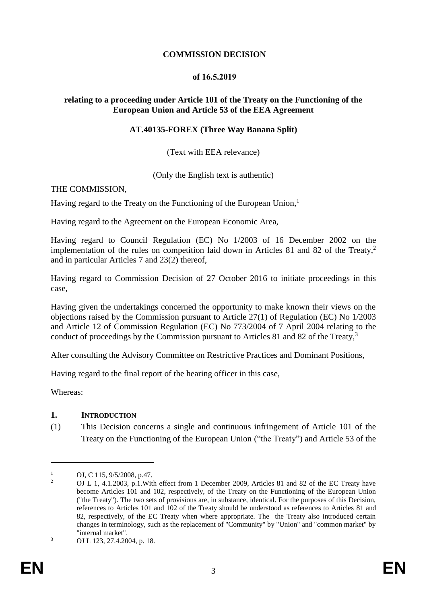## **COMMISSION DECISION**

#### **of 16.5.2019**

## **relating to a proceeding under Article 101 of the Treaty on the Functioning of the European Union and Article 53 of the EEA Agreement**

## **AT.40135-FOREX (Three Way Banana Split)**

## (Text with EEA relevance)

(Only the English text is authentic)

#### THE COMMISSION,

Having regard to the Treaty on the Functioning of the European Union,<sup>1</sup>

Having regard to the Agreement on the European Economic Area,

Having regard to Council Regulation (EC) No 1/2003 of 16 December 2002 on the implementation of the rules on competition laid down in Articles 81 and 82 of the Treaty,<sup>2</sup> and in particular Articles 7 and 23(2) thereof,

Having regard to Commission Decision of 27 October 2016 to initiate proceedings in this case,

Having given the undertakings concerned the opportunity to make known their views on the objections raised by the Commission pursuant to Article 27(1) of Regulation (EC) No 1/2003 and Article 12 of Commission Regulation (EC) No 773/2004 of 7 April 2004 relating to the conduct of proceedings by the Commission pursuant to Articles 81 and 82 of the Treaty,<sup>3</sup>

After consulting the Advisory Committee on Restrictive Practices and Dominant Positions,

Having regard to the final report of the hearing officer in this case,

Whereas:

#### **1. INTRODUCTION**

(1) This Decision concerns a single and continuous infringement of Article 101 of the Treaty on the Functioning of the European Union ("the Treaty") and Article 53 of the

<sup>&</sup>lt;sup>1</sup> OJ, C 115, 9/5/2008, p.47.

<sup>2</sup> OJ L 1, 4.1.2003, p.1.With effect from 1 December 2009, Articles 81 and 82 of the EC Treaty have become Articles 101 and 102, respectively, of the Treaty on the Functioning of the European Union ("the Treaty"). The two sets of provisions are, in substance, identical. For the purposes of this Decision, references to Articles 101 and 102 of the Treaty should be understood as references to Articles 81 and 82, respectively, of the EC Treaty when where appropriate. The the Treaty also introduced certain changes in terminology, such as the replacement of "Community" by "Union" and "common market" by "internal market".

<sup>3</sup> OJ L 123, 27.4.2004, p. 18.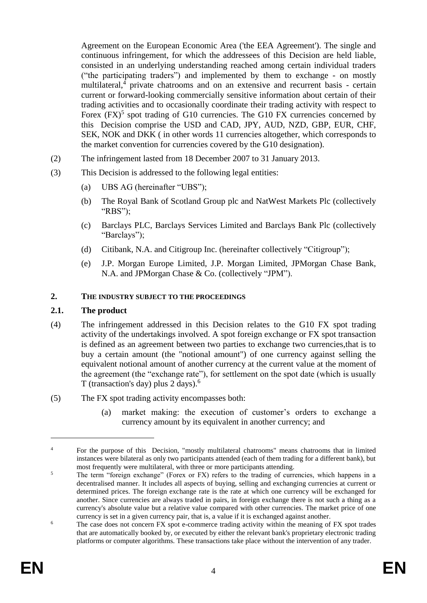Agreement on the European Economic Area ('the EEA Agreement'). The single and continuous infringement, for which the addressees of this Decision are held liable, consisted in an underlying understanding reached among certain individual traders ("the participating traders") and implemented by them to exchange - on mostly multilateral,<sup>4</sup> private chatrooms and on an extensive and recurrent basis - certain current or forward-looking commercially sensitive information about certain of their trading activities and to occasionally coordinate their trading activity with respect to Forex  $(FX)^5$  spot trading of G10 currencies. The G10 FX currencies concerned by this Decision comprise the USD and CAD, JPY, AUD, NZD, GBP, EUR, CHF, SEK, NOK and DKK ( in other words 11 currencies altogether, which corresponds to the market convention for currencies covered by the G10 designation).

- (2) The infringement lasted from 18 December 2007 to 31 January 2013.
- (3) This Decision is addressed to the following legal entities:
	- (a) UBS AG (hereinafter "UBS");
	- (b) The Royal Bank of Scotland Group plc and NatWest Markets Plc (collectively "RBS");
	- (c) Barclays PLC, Barclays Services Limited and Barclays Bank Plc (collectively "Barclays");
	- (d) Citibank, N.A. and Citigroup Inc. (hereinafter collectively "Citigroup");
	- (e) J.P. Morgan Europe Limited, J.P. Morgan Limited, JPMorgan Chase Bank, N.A. and JPMorgan Chase & Co. (collectively "JPM").

#### **2. THE INDUSTRY SUBJECT TO THE PROCEEDINGS**

#### **2.1. The product**

- <span id="page-4-0"></span>(4) The infringement addressed in this Decision relates to the G10 FX spot trading activity of the undertakings involved. A spot foreign exchange or FX spot transaction is defined as an agreement between two parties to exchange two currencies,that is to buy a certain amount (the "notional amount") of one currency against selling the equivalent notional amount of another currency at the current value at the moment of the agreement (the "exchange rate"), for settlement on the spot date (which is usually T (transaction's day) plus 2 days).<sup>6</sup>
- <span id="page-4-1"></span>(5) The FX spot trading activity encompasses both:
	- (a) market making: the execution of customer's orders to exchange a currency amount by its equivalent in another currency; and

<sup>&</sup>lt;sup>4</sup> For the purpose of this Decision, "mostly multilateral chatrooms" means chatrooms that in limited instances were bilateral as only two participants attended (each of them trading for a different bank), but most frequently were multilateral, with three or more participants attending.

<sup>&</sup>lt;sup>5</sup> The term "foreign exchange" (Forex or FX) refers to the trading of currencies, which happens in a decentralised manner. It includes all aspects of buying, selling and exchanging currencies at current or determined prices. The foreign exchange rate is the rate at which one currency will be exchanged for another. Since currencies are always traded in pairs, in foreign exchange there is not such a thing as a currency's absolute value but a relative value compared with other currencies. The market price of one currency is set in a given currency pair, that is, a value if it is exchanged against another.

<sup>&</sup>lt;sup>6</sup> The case does not concern FX spot e-commerce trading activity within the meaning of FX spot trades that are automatically booked by, or executed by either the relevant bank's proprietary electronic trading platforms or computer algorithms. These transactions take place without the intervention of any trader.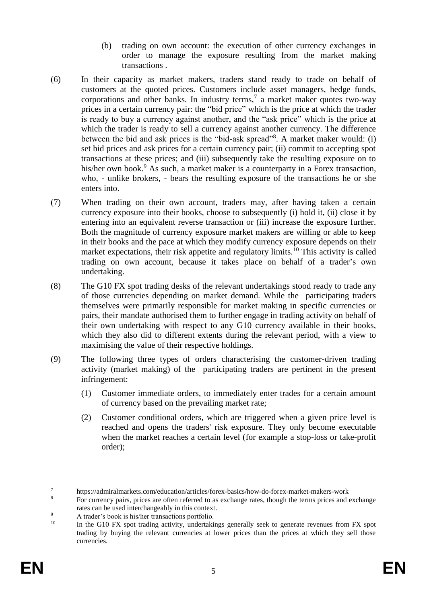- (b) trading on own account: the execution of other currency exchanges in order to manage the exposure resulting from the market making transactions .
- (6) In their capacity as market makers, traders stand ready to trade on behalf of customers at the quoted prices. Customers include asset managers, hedge funds, corporations and other banks. In industry terms,<sup>7</sup> a market maker quotes two-way prices in a certain currency pair: the "bid price" which is the price at which the trader is ready to buy a currency against another, and the "ask price" which is the price at which the trader is ready to sell a currency against another currency. The difference between the bid and ask prices is the "bid-ask spread"<sup>8</sup>. A market maker would: (i) set bid prices and ask prices for a certain currency pair; (ii) commit to accepting spot transactions at these prices; and (iii) subsequently take the resulting exposure on to his/her own book.<sup>9</sup> As such, a market maker is a counterparty in a Forex transaction, who, - unlike brokers, - bears the resulting exposure of the transactions he or she enters into.
- <span id="page-5-0"></span>(7) When trading on their own account, traders may, after having taken a certain currency exposure into their books, choose to subsequently (i) hold it, (ii) close it by entering into an equivalent reverse transaction or (iii) increase the exposure further. Both the magnitude of currency exposure market makers are willing or able to keep in their books and the pace at which they modify currency exposure depends on their market expectations, their risk appetite and regulatory limits.<sup>10</sup> This activity is called trading on own account, because it takes place on behalf of a trader's own undertaking.
- (8) The G10 FX spot trading desks of the relevant undertakings stood ready to trade any of those currencies depending on market demand. While the participating traders themselves were primarily responsible for market making in specific currencies or pairs, their mandate authorised them to further engage in trading activity on behalf of their own undertaking with respect to any G10 currency available in their books, which they also did to different extents during the relevant period, with a view to maximising the value of their respective holdings.
- (9) The following three types of orders characterising the customer-driven trading activity (market making) of the participating traders are pertinent in the present infringement:
	- (1) Customer immediate orders, to immediately enter trades for a certain amount of currency based on the prevailing market rate;
	- (2) Customer conditional orders, which are triggered when a given price level is reached and opens the traders' risk exposure. They only become executable when the market reaches a certain level (for example a stop-loss or take-profit order);

<sup>7</sup> https://admiralmarkets.com/education/articles/forex-basics/how-do-forex-market-makers-work

For currency pairs, prices are often referred to as exchange rates, though the terms prices and exchange rates can be used interchangeably in this context.

 $^{9}$  A trader's book is his/her transactions portfolio.<br><sup>10</sup> In the G10 EX spot trading activity, undertaki

<sup>10</sup> In the G10 FX spot trading activity, undertakings generally seek to generate revenues from FX spot trading by buying the relevant currencies at lower prices than the prices at which they sell those currencies.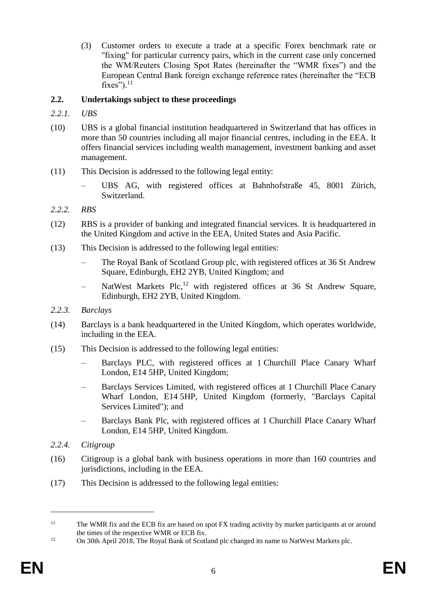(3) Customer orders to execute a trade at a specific Forex benchmark rate or "fixing" for particular currency pairs, which in the current case only concerned the WM/Reuters Closing Spot Rates (hereinafter the "WMR fixes") and the European Central Bank foreign exchange reference rates (hereinafter the "ECB  $fixes$ ").<sup>11</sup>

# **2.2. Undertakings subject to these proceedings**

- *2.2.1. UBS*
- (10) UBS is a global financial institution headquartered in Switzerland that has offices in more than 50 countries including all major financial centres, including in the EEA. It offers financial services including wealth management, investment banking and asset management.
- (11) This Decision is addressed to the following legal entity:
	- UBS AG, with registered offices at Bahnhofstraße 45, 8001 Zürich, Switzerland.
- *2.2.2. RBS*
- (12) RBS is a provider of banking and integrated financial services. It is headquartered in the United Kingdom and active in the EEA, United States and Asia Pacific.
- (13) This Decision is addressed to the following legal entities:
	- The Royal Bank of Scotland Group plc, with registered offices at 36 St Andrew Square, Edinburgh, EH2 2YB, United Kingdom; and
	- NatWest Markets Plc,<sup>12</sup> with registered offices at 36 St Andrew Square, Edinburgh, EH2 2YB, United Kingdom.
- *2.2.3. Barclays*
- (14) Barclays is a bank headquartered in the United Kingdom, which operates worldwide, including in the EEA.
- (15) This Decision is addressed to the following legal entities:
	- Barclays PLC, with registered offices at 1 Churchill Place Canary Wharf London, E14 5HP, United Kingdom;
	- Barclays Services Limited, with registered offices at 1 Churchill Place Canary Wharf London, E14 5HP, United Kingdom (formerly, "Barclays Capital Services Limited"); and
	- Barclays Bank Plc, with registered offices at 1 Churchill Place Canary Wharf London, E14 5HP, United Kingdom.
- *2.2.4. Citigroup*
- (16) Citigroup is a global bank with business operations in more than 160 countries and jurisdictions, including in the EEA.
- (17) This Decision is addressed to the following legal entities:

<sup>&</sup>lt;sup>11</sup> The WMR fix and the ECB fix are based on spot FX trading activity by market participants at or around the times of the respective WMR or ECB fix.

<sup>&</sup>lt;sup>12</sup> On 30th April 2018, The Royal Bank of Scotland plc changed its name to NatWest Markets plc.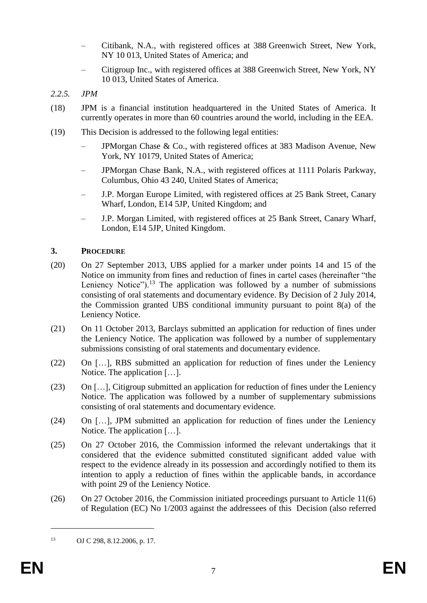- Citibank, N.A., with registered offices at 388 Greenwich Street, New York, NY 10 013, United States of America; and
- Citigroup Inc., with registered offices at 388 Greenwich Street, New York, NY 10 013, United States of America.
- *2.2.5. JPM*
- (18) JPM is a financial institution headquartered in the United States of America. It currently operates in more than 60 countries around the world, including in the EEA.
- (19) This Decision is addressed to the following legal entities:
	- JPMorgan Chase & Co., with registered offices at 383 Madison Avenue, New York, NY 10179, United States of America;
	- JPMorgan Chase Bank, N.A., with registered offices at 1111 Polaris Parkway, Columbus, Ohio 43 240, United States of America;
	- J.P. Morgan Europe Limited, with registered offices at 25 Bank Street, Canary Wharf, London, E14 5JP, United Kingdom; and
	- J.P. Morgan Limited, with registered offices at 25 Bank Street, Canary Wharf, London, E14 5JP, United Kingdom.

# **3. PROCEDURE**

- (20) On 27 September 2013, UBS applied for a marker under points 14 and 15 of the Notice on immunity from fines and reduction of fines in cartel cases (hereinafter "the Leniency Notice").<sup>13</sup> The application was followed by a number of submissions consisting of oral statements and documentary evidence. By Decision of 2 July 2014, the Commission granted UBS conditional immunity pursuant to point 8(a) of the Leniency Notice.
- (21) On 11 October 2013, Barclays submitted an application for reduction of fines under the Leniency Notice. The application was followed by a number of supplementary submissions consisting of oral statements and documentary evidence.
- (22) On […], RBS submitted an application for reduction of fines under the Leniency Notice. The application […].
- (23) On […], Citigroup submitted an application for reduction of fines under the Leniency Notice. The application was followed by a number of supplementary submissions consisting of oral statements and documentary evidence.
- (24) On […], JPM submitted an application for reduction of fines under the Leniency Notice. The application [...].
- (25) On 27 October 2016, the Commission informed the relevant undertakings that it considered that the evidence submitted constituted significant added value with respect to the evidence already in its possession and accordingly notified to them its intention to apply a reduction of fines within the applicable bands, in accordance with point 29 of the Leniency Notice.
- (26) On 27 October 2016, the Commission initiated proceedings pursuant to Article 11(6) of Regulation (EC) No 1/2003 against the addressees of this Decision (also referred

<u>.</u>

<sup>13</sup> OJ C 298, 8.12.2006, p. 17.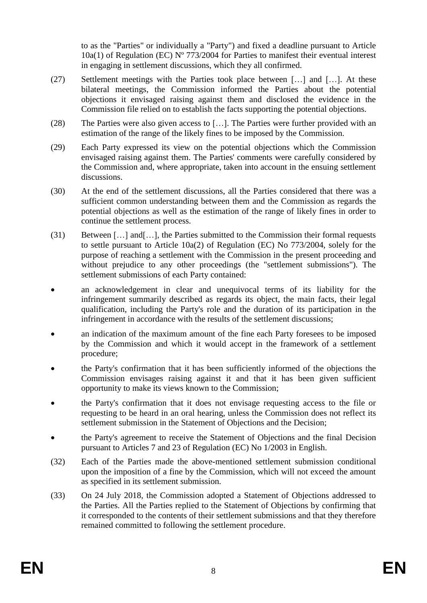to as the "Parties" or individually a "Party") and fixed a deadline pursuant to Article 10a(1) of Regulation (EC)  $N^{\circ}$  773/2004 for Parties to manifest their eventual interest in engaging in settlement discussions, which they all confirmed.

- (27) Settlement meetings with the Parties took place between […] and […]. At these bilateral meetings, the Commission informed the Parties about the potential objections it envisaged raising against them and disclosed the evidence in the Commission file relied on to establish the facts supporting the potential objections.
- (28) The Parties were also given access to […]. The Parties were further provided with an estimation of the range of the likely fines to be imposed by the Commission.
- (29) Each Party expressed its view on the potential objections which the Commission envisaged raising against them. The Parties' comments were carefully considered by the Commission and, where appropriate, taken into account in the ensuing settlement discussions.
- (30) At the end of the settlement discussions, all the Parties considered that there was a sufficient common understanding between them and the Commission as regards the potential objections as well as the estimation of the range of likely fines in order to continue the settlement process.
- (31) Between […] and[…], the Parties submitted to the Commission their formal requests to settle pursuant to Article 10a(2) of Regulation (EC) No 773/2004, solely for the purpose of reaching a settlement with the Commission in the present proceeding and without prejudice to any other proceedings (the "settlement submissions"). The settlement submissions of each Party contained:
- an acknowledgement in clear and unequivocal terms of its liability for the infringement summarily described as regards its object, the main facts, their legal qualification, including the Party's role and the duration of its participation in the infringement in accordance with the results of the settlement discussions;
- an indication of the maximum amount of the fine each Party foresees to be imposed by the Commission and which it would accept in the framework of a settlement procedure;
- the Party's confirmation that it has been sufficiently informed of the objections the Commission envisages raising against it and that it has been given sufficient opportunity to make its views known to the Commission;
- the Party's confirmation that it does not envisage requesting access to the file or requesting to be heard in an oral hearing, unless the Commission does not reflect its settlement submission in the Statement of Objections and the Decision;
- the Party's agreement to receive the Statement of Objections and the final Decision pursuant to Articles 7 and 23 of Regulation (EC) No 1/2003 in English.
- (32) Each of the Parties made the above-mentioned settlement submission conditional upon the imposition of a fine by the Commission, which will not exceed the amount as specified in its settlement submission.
- (33) On 24 July 2018, the Commission adopted a Statement of Objections addressed to the Parties. All the Parties replied to the Statement of Objections by confirming that it corresponded to the contents of their settlement submissions and that they therefore remained committed to following the settlement procedure.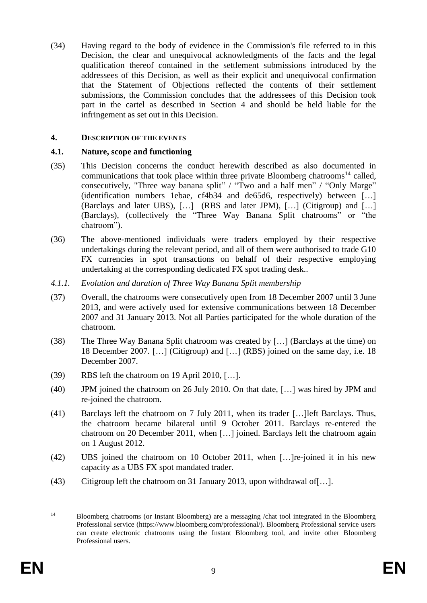(34) Having regard to the body of evidence in the Commission's file referred to in this Decision, the clear and unequivocal acknowledgments of the facts and the legal qualification thereof contained in the settlement submissions introduced by the addressees of this Decision, as well as their explicit and unequivocal confirmation that the Statement of Objections reflected the contents of their settlement submissions, the Commission concludes that the addressees of this Decision took part in the cartel as described in Section [4](#page-9-0) and should be held liable for the infringement as set out in this Decision.

#### <span id="page-9-0"></span>**4. DESCRIPTION OF THE EVENTS**

#### **4.1. Nature, scope and functioning**

- (35) This Decision concerns the conduct herewith described as also documented in communications that took place within three private Bloomberg chatrooms<sup>14</sup> called, consecutively, "Three way banana split" / "Two and a half men" / "Only Marge" (identification numbers 1ebae, cf4b34 and de65d6, respectively) between […] (Barclays and later UBS), […] (RBS and later JPM), […] (Citigroup) and […] (Barclays), (collectively the "Three Way Banana Split chatrooms" or "the chatroom").
- (36) The above-mentioned individuals were traders employed by their respective undertakings during the relevant period, and all of them were authorised to trade G10 FX currencies in spot transactions on behalf of their respective employing undertaking at the corresponding dedicated FX spot trading desk..
- *4.1.1. Evolution and duration of Three Way Banana Split membership*
- (37) Overall, the chatrooms were consecutively open from 18 December 2007 until 3 June 2013, and were actively used for extensive communications between 18 December 2007 and 31 January 2013. Not all Parties participated for the whole duration of the chatroom.
- (38) The Three Way Banana Split chatroom was created by […] (Barclays at the time) on 18 December 2007. […] (Citigroup) and […] (RBS) joined on the same day, i.e. 18 December 2007.
- (39) RBS left the chatroom on 19 April 2010, […].
- (40) JPM joined the chatroom on 26 July 2010. On that date, […] was hired by JPM and re-joined the chatroom.
- (41) Barclays left the chatroom on 7 July 2011, when its trader […]left Barclays. Thus, the chatroom became bilateral until 9 October 2011. Barclays re-entered the chatroom on 20 December 2011, when […] joined. Barclays left the chatroom again on 1 August 2012.
- (42) UBS joined the chatroom on 10 October 2011, when […]re-joined it in his new capacity as a UBS FX spot mandated trader.
- (43) Citigroup left the chatroom on 31 January 2013, upon withdrawal of[…].

<u>.</u>

<sup>&</sup>lt;sup>14</sup> Bloomberg chatrooms (or Instant Bloomberg) are a messaging /chat tool integrated in the Bloomberg Professional service (https://www.bloomberg.com/professional/). Bloomberg Professional service users can create electronic chatrooms using the Instant Bloomberg tool, and invite other Bloomberg Professional users.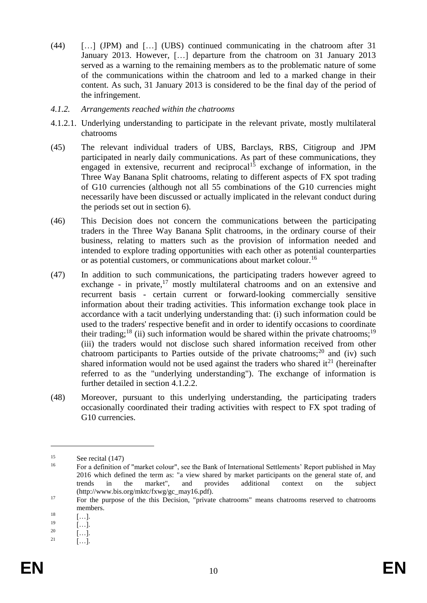- (44) […] (JPM) and […] (UBS) continued communicating in the chatroom after 31 January 2013. However, […] departure from the chatroom on 31 January 2013 served as a warning to the remaining members as to the problematic nature of some of the communications within the chatroom and led to a marked change in their content. As such, 31 January 2013 is considered to be the final day of the period of the infringement.
- <span id="page-10-0"></span>*4.1.2. Arrangements reached within the chatrooms*
- <span id="page-10-1"></span>4.1.2.1. Underlying understanding to participate in the relevant private, mostly multilateral chatrooms
- (45) The relevant individual traders of UBS, Barclays, RBS, Citigroup and JPM participated in nearly daily communications. As part of these communications, they engaged in extensive, recurrent and reciprocal<sup>15</sup> exchange of information, in the Three Way Banana Split chatrooms, relating to different aspects of FX spot trading of G10 currencies (although not all 55 combinations of the G10 currencies might necessarily have been discussed or actually implicated in the relevant conduct during the periods set out in section [6\)](#page-25-0).
- (46) This Decision does not concern the communications between the participating traders in the Three Way Banana Split chatrooms, in the ordinary course of their business, relating to matters such as the provision of information needed and intended to explore trading opportunities with each other as potential counterparties or as potential customers, or communications about market colour.<sup>16</sup>
- (47) In addition to such communications, the participating traders however agreed to exchange - in private, $17 \text{ mostly multilateral chatrooms and on an extensive and}$ recurrent basis - certain current or forward-looking commercially sensitive information about their trading activities. This information exchange took place in accordance with a tacit underlying understanding that: (i) such information could be used to the traders' respective benefit and in order to identify occasions to coordinate their trading;<sup>18</sup> (ii) such information would be shared within the private chatrooms;<sup>19</sup> (iii) the traders would not disclose such shared information received from other chatroom participants to Parties outside of the private chatrooms;<sup>20</sup> and (iv) such shared information would not be used against the traders who shared it<sup>21</sup> (hereinafter referred to as the "underlying understanding"). The exchange of information is further detailed in section [4.1.2.2.](#page-11-0)
- (48) Moreover, pursuant to this underlying understanding, the participating traders occasionally coordinated their trading activities with respect to FX spot trading of G<sub>10</sub> currencies.

<sup>&</sup>lt;sup>15</sup> See recital  $(147)$ 

<sup>16</sup> For a definition of "market colour", see the Bank of International Settlements' Report published in May 2016 which defined the term as: "a view shared by market participants on the general state of, and trends in the market", and provides additional context on the subject trends in the market", and provides additional context on the subject (http://www.bis.org/mktc/fxwg/gc\_may16.pdf).

<sup>&</sup>lt;sup>17</sup> For the purpose of the this Decision, "private chatrooms" means chatrooms reserved to chatrooms members.

 $\begin{bmatrix} 18 \\ 19 \end{bmatrix}$   $\begin{bmatrix} \ldots \\ 1 \end{bmatrix}$ 

 $\begin{bmatrix} 19 \\ 20 \end{bmatrix}$   $\begin{bmatrix} \dots \\ 1 \end{bmatrix}$ 

 $\begin{bmatrix} 20 \\ 21 \end{bmatrix}$  [...].

 $[...]$ .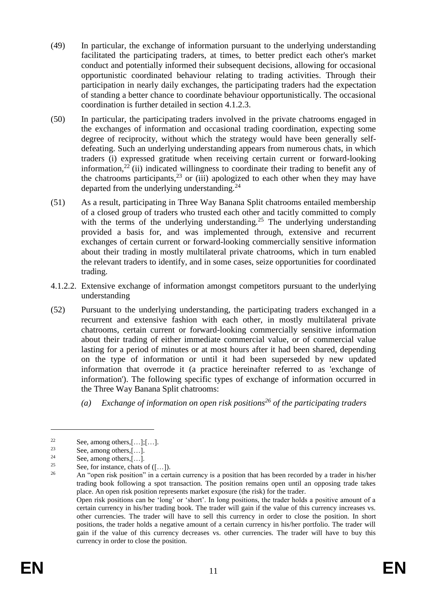- (49) In particular, the exchange of information pursuant to the underlying understanding facilitated the participating traders, at times, to better predict each other's market conduct and potentially informed their subsequent decisions, allowing for occasional opportunistic coordinated behaviour relating to trading activities. Through their participation in nearly daily exchanges, the participating traders had the expectation of standing a better chance to coordinate behaviour opportunistically. The occasional coordination is further detailed in section [4.1.2.3.](#page-13-0)
- <span id="page-11-1"></span>(50) In particular, the participating traders involved in the private chatrooms engaged in the exchanges of information and occasional trading coordination, expecting some degree of reciprocity, without which the strategy would have been generally selfdefeating. Such an underlying understanding appears from numerous chats, in which traders (i) expressed gratitude when receiving certain current or forward-looking information,<sup>22</sup> (ii) indicated willingness to coordinate their trading to benefit any of the chatrooms participants,  $^{23}$  or (iii) apologized to each other when they may have departed from the underlying understanding. $^{24}$
- <span id="page-11-2"></span>(51) As a result, participating in Three Way Banana Split chatrooms entailed membership of a closed group of traders who trusted each other and tacitly committed to comply with the terms of the underlying understanding.<sup>25</sup> The underlying understanding provided a basis for, and was implemented through, extensive and recurrent exchanges of certain current or forward-looking commercially sensitive information about their trading in mostly multilateral private chatrooms, which in turn enabled the relevant traders to identify, and in some cases, seize opportunities for coordinated trading.
- <span id="page-11-0"></span>4.1.2.2. Extensive exchange of information amongst competitors pursuant to the underlying understanding
- (52) Pursuant to the underlying understanding, the participating traders exchanged in a recurrent and extensive fashion with each other, in mostly multilateral private chatrooms, certain current or forward-looking commercially sensitive information about their trading of either immediate commercial value, or of commercial value lasting for a period of minutes or at most hours after it had been shared, depending on the type of information or until it had been superseded by new updated information that overrode it (a practice hereinafter referred to as 'exchange of information'). The following specific types of exchange of information occurred in the Three Way Banana Split chatrooms:
	- *(a) Exchange of information on open risk positions<sup>26</sup> of the participating traders*

<sup>25</sup> See, for instance, chats of  $([...]$ .

<sup>&</sup>lt;sup>22</sup> See, among others,  $[\dots]$ ;  $[\dots]$ .<br><sup>23</sup> See, among others  $\begin{bmatrix} 1 \end{bmatrix}$ .

 $\sum_{24}^{23}$  See, among others,  $\left[\ldots\right]$ .

<sup>&</sup>lt;sup>24</sup> See, among others, [...].<br><sup>25</sup>

An "open risk position" in a certain currency is a position that has been recorded by a trader in his/her trading book following a spot transaction. The position remains open until an opposing trade takes place. An open risk position represents market exposure (the risk) for the trader.

Open risk positions can be 'long' or 'short'. In long positions, the trader holds a positive amount of a certain currency in his/her trading book. The trader will gain if the value of this currency increases vs. other currencies. The trader will have to sell this currency in order to close the position. In short positions, the trader holds a negative amount of a certain currency in his/her portfolio. The trader will gain if the value of this currency decreases vs. other currencies. The trader will have to buy this currency in order to close the position.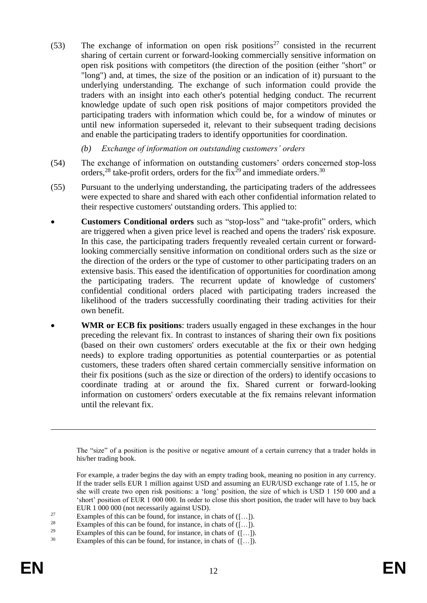<span id="page-12-0"></span>(53) The exchange of information on open risk positions<sup>27</sup> consisted in the recurrent sharing of certain current or forward-looking commercially sensitive information on open risk positions with competitors (the direction of the position (either "short" or "long") and, at times, the size of the position or an indication of it) pursuant to the underlying understanding. The exchange of such information could provide the traders with an insight into each other's potential hedging conduct. The recurrent knowledge update of such open risk positions of major competitors provided the participating traders with information which could be, for a window of minutes or until new information superseded it, relevant to their subsequent trading decisions and enable the participating traders to identify opportunities for coordination.

## *(b) Exchange of information on outstanding customers' orders*

- (54) The exchange of information on outstanding customers' orders concerned stop-loss orders,<sup>28</sup> take-profit orders, orders for the fix<sup>29</sup> and immediate orders.<sup>30</sup>
- (55) Pursuant to the underlying understanding, the participating traders of the addressees were expected to share and shared with each other confidential information related to their respective customers' outstanding orders. This applied to:
- **Customers Conditional orders** such as "stop-loss" and "take-profit" orders, which are triggered when a given price level is reached and opens the traders' risk exposure. In this case, the participating traders frequently revealed certain current or forwardlooking commercially sensitive information on conditional orders such as the size or the direction of the orders or the type of customer to other participating traders on an extensive basis. This eased the identification of opportunities for coordination among the participating traders. The recurrent update of knowledge of customers' confidential conditional orders placed with participating traders increased the likelihood of the traders successfully coordinating their trading activities for their own benefit.
- **WMR or ECB fix positions**: traders usually engaged in these exchanges in the hour preceding the relevant fix. In contrast to instances of sharing their own fix positions (based on their own customers' orders executable at the fix or their own hedging needs) to explore trading opportunities as potential counterparties or as potential customers, these traders often shared certain commercially sensitive information on their fix positions (such as the size or direction of the orders) to identify occasions to coordinate trading at or around the fix. Shared current or forward-looking information on customers' orders executable at the fix remains relevant information until the relevant fix.

The "size" of a position is the positive or negative amount of a certain currency that a trader holds in his/her trading book.

- <sup>27</sup> Examples of this can be found, for instance, in chats of  $([...]$ .<br><sup>28</sup> Examples of this can be found, for instance, in chats of  $([ ] )$
- <sup>28</sup> Examples of this can be found, for instance, in chats of  $([...]$ .
- <sup>29</sup> Examples of this can be found, for instance, in chats of  $([-...]$ .
- Examples of this can be found, for instance, in chats of  $([-...]$ .

 $\overline{a}$ 

For example, a trader begins the day with an empty trading book, meaning no position in any currency. If the trader sells EUR 1 million against USD and assuming an EUR/USD exchange rate of 1.15, he or she will create two open risk positions: a 'long' position, the size of which is USD 1 150 000 and a 'short' position of EUR 1 000 000. In order to close this short position, the trader will have to buy back EUR 1 000 000 (not necessarily against USD).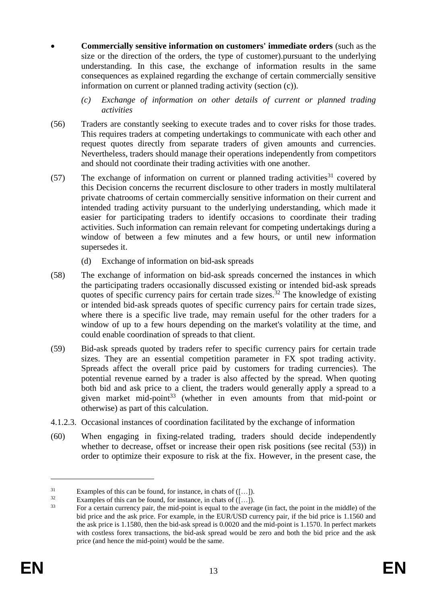- **Commercially sensitive information on customers' immediate orders** (such as the size or the direction of the orders, the type of customer).pursuant to the underlying understanding. In this case, the exchange of information results in the same consequences as explained regarding the exchange of certain commercially sensitive information on current or planned trading activity (section (c)).
	- *(c) Exchange of information on other details of current or planned trading activities*
- (56) Traders are constantly seeking to execute trades and to cover risks for those trades. This requires traders at competing undertakings to communicate with each other and request quotes directly from separate traders of given amounts and currencies. Nevertheless, traders should manage their operations independently from competitors and should not coordinate their trading activities with one another.
- (57) The exchange of information on current or planned trading activities<sup>31</sup> covered by this Decision concerns the recurrent disclosure to other traders in mostly multilateral private chatrooms of certain commercially sensitive information on their current and intended trading activity pursuant to the underlying understanding, which made it easier for participating traders to identify occasions to coordinate their trading activities. Such information can remain relevant for competing undertakings during a window of between a few minutes and a few hours, or until new information supersedes it.
	- (d) Exchange of information on bid-ask spreads
- (58) The exchange of information on bid-ask spreads concerned the instances in which the participating traders occasionally discussed existing or intended bid-ask spreads quotes of specific currency pairs for certain trade sizes.<sup>32</sup> The knowledge of existing or intended bid-ask spreads quotes of specific currency pairs for certain trade sizes, where there is a specific live trade, may remain useful for the other traders for a window of up to a few hours depending on the market's volatility at the time, and could enable coordination of spreads to that client.
- (59) Bid-ask spreads quoted by traders refer to specific currency pairs for certain trade sizes. They are an essential competition parameter in FX spot trading activity. Spreads affect the overall price paid by customers for trading currencies). The potential revenue earned by a trader is also affected by the spread. When quoting both bid and ask price to a client, the traders would generally apply a spread to a given market mid-point<sup>33</sup> (whether in even amounts from that mid-point or otherwise) as part of this calculation.
- <span id="page-13-0"></span>4.1.2.3. Occasional instances of coordination facilitated by the exchange of information
- (60) When engaging in fixing-related trading, traders should decide independently whether to decrease, offset or increase their open risk positions (see recital [\(53\)\)](#page-12-0) in order to optimize their exposure to risk at the fix. However, in the present case, the

<sup>&</sup>lt;sup>31</sup> Examples of this can be found, for instance, in chats of  $([-..])$ .<br><sup>32</sup> Examples of this can be found, for instance, in obsts of  $([-1])$ 

<sup>&</sup>lt;sup>32</sup> Examples of this can be found, for instance, in chats of  $([\dots])$ .<br><sup>33</sup> Eq. 3 certain currency pair, the mid point is equal to the average

<sup>33</sup> For a certain currency pair, the mid-point is equal to the average (in fact, the point in the middle) of the bid price and the ask price. For example, in the EUR/USD currency pair, if the bid price is 1.1560 and the ask price is 1.1580, then the bid-ask spread is 0.0020 and the mid-point is 1.1570. In perfect markets with costless forex transactions, the bid-ask spread would be zero and both the bid price and the ask price (and hence the mid-point) would be the same.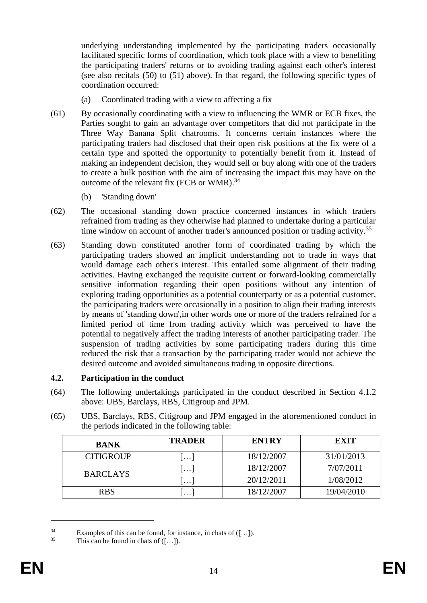underlying understanding implemented by the participating traders occasionally facilitated specific forms of coordination, which took place with a view to benefiting the participating traders' returns or to avoiding trading against each other's interest (see also recitals [\(50\)](#page-11-1) to [\(51\)](#page-11-2) above). In that regard, the following specific types of coordination occurred:

- (a) Coordinated trading with a view to affecting a fix
- <span id="page-14-0"></span>(61) By occasionally coordinating with a view to influencing the WMR or ECB fixes, the Parties sought to gain an advantage over competitors that did not participate in the Three Way Banana Split chatrooms. It concerns certain instances where the participating traders had disclosed that their open risk positions at the fix were of a certain type and spotted the opportunity to potentially benefit from it. Instead of making an independent decision, they would sell or buy along with one of the traders to create a bulk position with the aim of increasing the impact this may have on the outcome of the relevant fix (ECB or WMR).<sup>34</sup>
	- (b) 'Standing down'
- <span id="page-14-1"></span>(62) The occasional standing down practice concerned instances in which traders refrained from trading as they otherwise had planned to undertake during a particular time window on account of another trader's announced position or trading activity.<sup>35</sup>
- (63) Standing down constituted another form of coordinated trading by which the participating traders showed an implicit understanding not to trade in ways that would damage each other's interest. This entailed some alignment of their trading activities. Having exchanged the requisite current or forward-looking commercially sensitive information regarding their open positions without any intention of exploring trading opportunities as a potential counterparty or as a potential customer, the participating traders were occasionally in a position to align their trading interests by means of 'standing down',in other words one or more of the traders refrained for a limited period of time from trading activity which was perceived to have the potential to negatively affect the trading interests of another participating trader. The suspension of trading activities by some participating traders during this time reduced the risk that a transaction by the participating trader would not achieve the desired outcome and avoided simultaneous trading in opposite directions.

## **4.2. Participation in the conduct**

- (64) The following undertakings participated in the conduct described in Section [4.1.2](#page-10-0) above: UBS, Barclays, RBS, Citigroup and JPM.
- <span id="page-14-2"></span>(65) UBS, Barclays, RBS, Citigroup and JPM engaged in the aforementioned conduct in the periods indicated in the following table:

| <b>BANK</b>      | <b>TRADER</b> | <b>ENTRY</b> | <b>EXIT</b> |
|------------------|---------------|--------------|-------------|
| <b>CITIGROUP</b> | $\cdots$      | 18/12/2007   | 31/01/2013  |
| <b>BARCLAYS</b>  | .             | 18/12/2007   | 7/07/2011   |
|                  | $\cdots$      | 20/12/2011   | 1/08/2012   |
| <b>RBS</b>       | $\cdots$      | 18/12/2007   | 19/04/2010  |

<sup>&</sup>lt;sup>34</sup> Examples of this can be found, for instance, in chats of  $([-...]$ .

This can be found in chats of  $([-...]$ .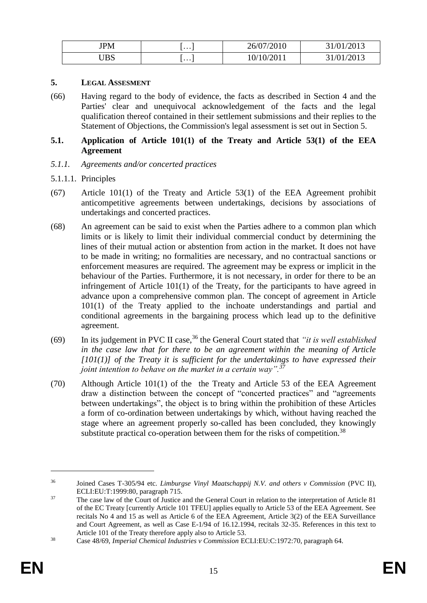| JPM | .             | 26/07/2010 | /2013<br>31/01/ |
|-----|---------------|------------|-----------------|
| JBS | $\cdots$<br>- | 10/10/2011 | /2013<br>31/01/ |

#### **5. LEGAL ASSESMENT**

(66) Having regard to the body of evidence, the facts as described in Section 4 and the Parties' clear and unequivocal acknowledgement of the facts and the legal qualification thereof contained in their settlement submissions and their replies to the Statement of Objections, the Commission's legal assessment is set out in Section 5.

#### **5.1. Application of Article 101(1) of the Treaty and Article 53(1) of the EEA Agreement**

*5.1.1. Agreements and/or concerted practices*

#### 5.1.1.1. Principles

- (67) Article 101(1) of the Treaty and Article 53(1) of the EEA Agreement prohibit anticompetitive agreements between undertakings, decisions by associations of undertakings and concerted practices.
- (68) An agreement can be said to exist when the Parties adhere to a common plan which limits or is likely to limit their individual commercial conduct by determining the lines of their mutual action or abstention from action in the market. It does not have to be made in writing; no formalities are necessary, and no contractual sanctions or enforcement measures are required. The agreement may be express or implicit in the behaviour of the Parties. Furthermore, it is not necessary, in order for there to be an infringement of Article 101(1) of the Treaty, for the participants to have agreed in advance upon a comprehensive common plan. The concept of agreement in Article 101(1) of the Treaty applied to the inchoate understandings and partial and conditional agreements in the bargaining process which lead up to the definitive agreement.
- (69) In its judgement in PVC II case,<sup>36</sup> the General Court stated that *"it is well established in the case law that for there to be an agreement within the meaning of Article*  [101(1)] of the Treaty it is sufficient for the undertakings to have expressed their *joint intention to behave on the market in a certain way".<sup>37</sup>*
- (70) Although Article 101(1) of the the Treaty and Article 53 of the EEA Agreement draw a distinction between the concept of "concerted practices" and "agreements between undertakings", the object is to bring within the prohibition of these Articles a form of co-ordination between undertakings by which, without having reached the stage where an agreement properly so-called has been concluded, they knowingly substitute practical co-operation between them for the risks of competition.<sup>38</sup>

<u>.</u>

<sup>36</sup> Joined Cases T-305/94 etc. *Limburgse Vinyl Maatschappij N.V. and others v Commission* (PVC II)*,* ECLI:EU:T:1999:80, paragraph 715.

<sup>&</sup>lt;sup>37</sup> The case law of the Court of Justice and the General Court in relation to the interpretation of Article 81 of the EC Treaty [currently Article 101 TFEU] applies equally to Article 53 of the EEA Agreement. See recitals No 4 and 15 as well as Article 6 of the EEA Agreement, Article 3(2) of the EEA Surveillance and Court Agreement, as well as Case E-1/94 of 16.12.1994, recitals 32-35. References in this text to Article 101 of the Treaty therefore apply also to Article 53.

<sup>38</sup> Case 48/69, *Imperial Chemical Industries v Commission* ECLI:EU:C:1972:70, paragraph 64.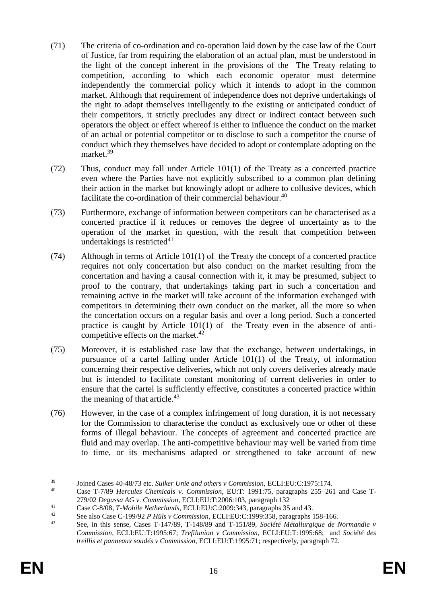- (71) The criteria of co-ordination and co-operation laid down by the case law of the Court of Justice, far from requiring the elaboration of an actual plan, must be understood in the light of the concept inherent in the provisions of the The Treaty relating to competition, according to which each economic operator must determine independently the commercial policy which it intends to adopt in the common market. Although that requirement of independence does not deprive undertakings of the right to adapt themselves intelligently to the existing or anticipated conduct of their competitors, it strictly precludes any direct or indirect contact between such operators the object or effect whereof is either to influence the conduct on the market of an actual or potential competitor or to disclose to such a competitor the course of conduct which they themselves have decided to adopt or contemplate adopting on the market.<sup>39</sup>
- (72) Thus, conduct may fall under Article 101(1) of the Treaty as a concerted practice even where the Parties have not explicitly subscribed to a common plan defining their action in the market but knowingly adopt or adhere to collusive devices, which facilitate the co-ordination of their commercial behaviour.<sup>40</sup>
- (73) Furthermore, exchange of information between competitors can be characterised as a concerted practice if it reduces or removes the degree of uncertainty as to the operation of the market in question, with the result that competition between undertakings is restricted $41$
- (74) Although in terms of Article 101(1) of the Treaty the concept of a concerted practice requires not only concertation but also conduct on the market resulting from the concertation and having a causal connection with it, it may be presumed, subject to proof to the contrary, that undertakings taking part in such a concertation and remaining active in the market will take account of the information exchanged with competitors in determining their own conduct on the market, all the more so when the concertation occurs on a regular basis and over a long period. Such a concerted practice is caught by Article 101(1) of the Treaty even in the absence of anticompetitive effects on the market. $42$
- (75) Moreover, it is established case law that the exchange, between undertakings, in pursuance of a cartel falling under Article 101(1) of the Treaty, of information concerning their respective deliveries, which not only covers deliveries already made but is intended to facilitate constant monitoring of current deliveries in order to ensure that the cartel is sufficiently effective, constitutes a concerted practice within the meaning of that article.<sup>43</sup>
- (76) However, in the case of a complex infringement of long duration, it is not necessary for the Commission to characterise the conduct as exclusively one or other of these forms of illegal behaviour. The concepts of agreement and concerted practice are fluid and may overlap. The anti-competitive behaviour may well be varied from time to time, or its mechanisms adapted or strengthened to take account of new

<u>.</u>

<sup>39</sup> Joined Cases 40-48/73 etc. *Suiker Unie and others v Commission,* ECLI:EU:C:1975:174.

<sup>40</sup> Case T-7/89 *Hercules Chemicals v. Commission*, EU:T: 1991:75, paragraphs 255–261 and Case T-279/02 *Degussa AG v. Commission*, ECLI:EU:T:2006:103, paragraph 132

<sup>41</sup> Case C-8/08, *T-Mobile Netherlands*, ECLI:EU:C:2009:343, paragraphs 35 and 43.

<sup>&</sup>lt;sup>42</sup> See also Case C-199/92 *P Hüls v Commission*, ECLI:EU:C:1999:358, paragraphs 158-166.

<sup>43</sup> See, in this sense, Cases T-147/89, T-148/89 and T-151/89, *Société Métallurgique de Normandie v Commission,* ECLI:EU:T:1995:67; *Trefilunion v Commission,* ECLI:EU:T:1995:68; and *Société des treillis et panneaux soudés v Commission,* ECLI:EU:T:1995:71; respectively, paragraph 72.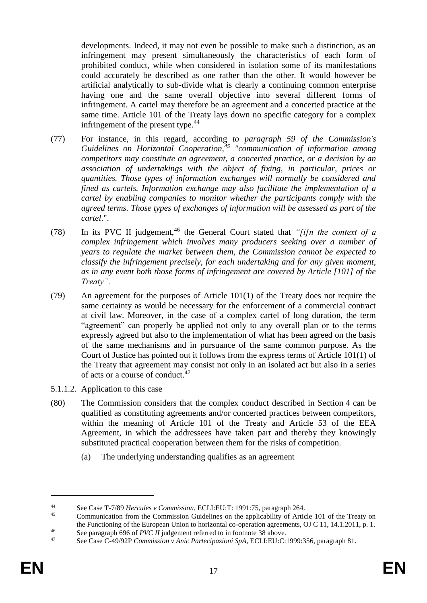developments. Indeed, it may not even be possible to make such a distinction, as an infringement may present simultaneously the characteristics of each form of prohibited conduct, while when considered in isolation some of its manifestations could accurately be described as one rather than the other. It would however be artificial analytically to sub-divide what is clearly a continuing common enterprise having one and the same overall objective into several different forms of infringement. A cartel may therefore be an agreement and a concerted practice at the same time. Article 101 of the Treaty lays down no specific category for a complex infringement of the present type.<sup>44</sup>

- (77) For instance, in this regard, according *to paragraph 59 of the Commission's Guidelines on Horizontal Cooperation,<sup>45</sup> "communication of information among competitors may constitute an agreement, a concerted practice, or a decision by an association of undertakings with the object of fixing, in particular, prices or quantities. Those types of information exchanges will normally be considered and fined as cartels. Information exchange may also facilitate the implementation of a cartel by enabling companies to monitor whether the participants comply with the agreed terms. Those types of exchanges of information will be assessed as part of the cartel*.".
- (78) In its PVC II judgement,<sup>46</sup> the General Court stated that *"[i]n the context of a complex infringement which involves many producers seeking over a number of years to regulate the market between them, the Commission cannot be expected to classify the infringement precisely, for each undertaking and for any given moment, as in any event both those forms of infringement are covered by Article [101] of the Treaty".*
- (79) An agreement for the purposes of Article 101(1) of the Treaty does not require the same certainty as would be necessary for the enforcement of a commercial contract at civil law. Moreover, in the case of a complex cartel of long duration, the term "agreement" can properly be applied not only to any overall plan or to the terms expressly agreed but also to the implementation of what has been agreed on the basis of the same mechanisms and in pursuance of the same common purpose. As the Court of Justice has pointed out it follows from the express terms of Article 101(1) of the Treaty that agreement may consist not only in an isolated act but also in a series of acts or a course of conduct.<sup>47</sup>
- <span id="page-17-0"></span>5.1.1.2. Application to this case
- (80) The Commission considers that the complex conduct described in Section 4 can be qualified as constituting agreements and/or concerted practices between competitors, within the meaning of Article 101 of the Treaty and Article 53 of the EEA Agreement, in which the addressees have taken part and thereby they knowingly substituted practical cooperation between them for the risks of competition.
	- (a) The underlying understanding qualifies as an agreement

<sup>44</sup> See Case T-7/89 *Hercules v Commission*, ECLI:EU:T: 1991:75, paragraph 264.

<sup>45</sup> Communication from the Commission Guidelines on the applicability of Article 101 of the Treaty on the Functioning of the European Union to horizontal co-operation agreements, OJ C 11, 14.1.2011, p. 1. <sup>46</sup> See paragraph 696 of *PVC II* judgement referred to in footnote 38 above.

<sup>47</sup> See Case C-49/92P *Commission v Anic Partecipazioni SpA,* ECLI:EU:C:1999:356, paragraph 81.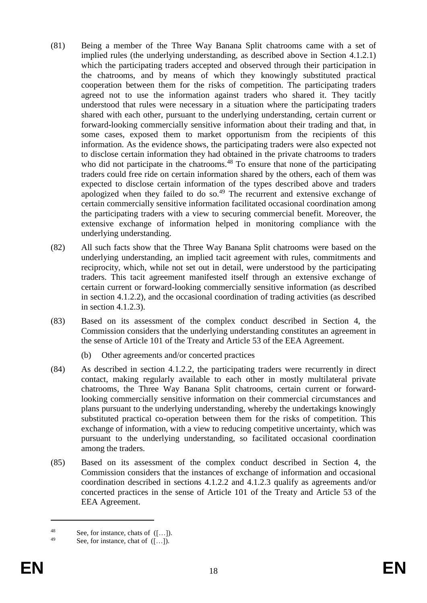- (81) Being a member of the Three Way Banana Split chatrooms came with a set of implied rules (the underlying understanding, as described above in Section [4.1.2.1\)](#page-10-1) which the participating traders accepted and observed through their participation in the chatrooms, and by means of which they knowingly substituted practical cooperation between them for the risks of competition. The participating traders agreed not to use the information against traders who shared it. They tacitly understood that rules were necessary in a situation where the participating traders shared with each other, pursuant to the underlying understanding, certain current or forward-looking commercially sensitive information about their trading and that, in some cases, exposed them to market opportunism from the recipients of this information. As the evidence shows, the participating traders were also expected not to disclose certain information they had obtained in the private chatrooms to traders who did not participate in the chatrooms.<sup>48</sup> To ensure that none of the participating traders could free ride on certain information shared by the others, each of them was expected to disclose certain information of the types described above and traders apologized when they failed to do so.<sup>49</sup> The recurrent and extensive exchange of certain commercially sensitive information facilitated occasional coordination among the participating traders with a view to securing commercial benefit. Moreover, the extensive exchange of information helped in monitoring compliance with the underlying understanding.
- (82) All such facts show that the Three Way Banana Split chatrooms were based on the underlying understanding, an implied tacit agreement with rules, commitments and reciprocity, which, while not set out in detail, were understood by the participating traders. This tacit agreement manifested itself through an extensive exchange of certain current or forward-looking commercially sensitive information (as described in section 4.1.2.2), and the occasional coordination of trading activities (as described in section 4.1.2.3).
- (83) Based on its assessment of the complex conduct described in Section 4, the Commission considers that the underlying understanding constitutes an agreement in the sense of Article 101 of the Treaty and Article 53 of the EEA Agreement.
	- (b) Other agreements and/or concerted practices
- (84) As described in section 4.1.2.2, the participating traders were recurrently in direct contact, making regularly available to each other in mostly multilateral private chatrooms, the Three Way Banana Split chatrooms, certain current or forwardlooking commercially sensitive information on their commercial circumstances and plans pursuant to the underlying understanding, whereby the undertakings knowingly substituted practical co-operation between them for the risks of competition. This exchange of information, with a view to reducing competitive uncertainty, which was pursuant to the underlying understanding, so facilitated occasional coordination among the traders.
- (85) Based on its assessment of the complex conduct described in Section 4, the Commission considers that the instances of exchange of information and occasional coordination described in sections 4.1.2.2 and 4.1.2.3 qualify as agreements and/or concerted practices in the sense of Article 101 of the Treaty and Article 53 of the EEA Agreement.

<sup>48</sup> See, for instance, chats of  $([-...]$ .

See, for instance, chat of  $([-...]$ .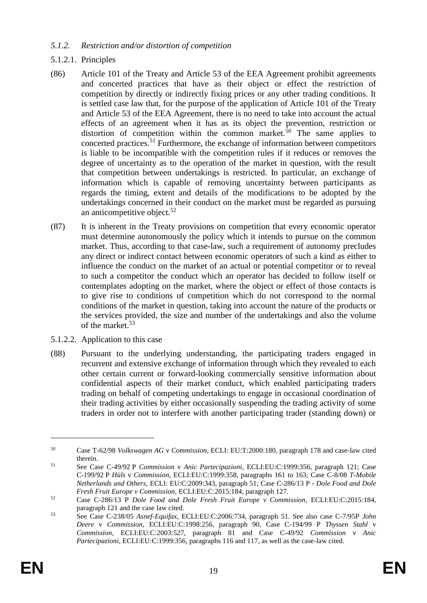## *5.1.2. Restriction and/or distortion of competition*

## 5.1.2.1. Principles

- (86) Article 101 of the Treaty and Article 53 of the EEA Agreement prohibit agreements and concerted practices that have as their object or effect the restriction of competition by directly or indirectly fixing prices or any other trading conditions. It is settled case law that, for the purpose of the application of Article 101 of the Treaty and Article 53 of the EEA Agreement, there is no need to take into account the actual effects of an agreement when it has as its object the prevention, restriction or distortion of competition within the common market.<sup>50</sup> The same applies to concerted practices.<sup>51</sup> Furthermore, the exchange of information between competitors is liable to be incompatible with the competition rules if it reduces or removes the degree of uncertainty as to the operation of the market in question, with the result that competition between undertakings is restricted. In particular, an exchange of information which is capable of removing uncertainty between participants as regards the timing, extent and details of the modifications to be adopted by the undertakings concerned in their conduct on the market must be regarded as pursuing an anticompetitive object. $52$
- (87) It is inherent in the Treaty provisions on competition that every economic operator must determine autonomously the policy which it intends to pursue on the common market. Thus, according to that case-law, such a requirement of autonomy precludes any direct or indirect contact between economic operators of such a kind as either to influence the conduct on the market of an actual or potential competitor or to reveal to such a competitor the conduct which an operator has decided to follow itself or contemplates adopting on the market, where the object or effect of those contacts is to give rise to conditions of competition which do not correspond to the normal conditions of the market in question, taking into account the nature of the products or the services provided, the size and number of the undertakings and also the volume of the market.<sup>53</sup>
- 5.1.2.2. Application to this case
- (88) Pursuant to the underlying understanding, the participating traders engaged in recurrent and extensive exchange of information through which they revealed to each other certain current or forward-looking commercially sensitive information about confidential aspects of their market conduct, which enabled participating traders trading on behalf of competing undertakings to engage in occasional coordination of their trading activities by either occasionally suspending the trading activity of some traders in order not to interfere with another participating trader (standing down) or

<sup>50</sup> Case T-62/98 *Volkswagen AG* v *Commission*, ECLI: EU:T:2000:180, paragraph 178 and case-law cited therein.

<sup>51</sup> See Case C-49/92 P *Commission* v *Anic Partecipazioni*, ECLI:EU:C:1999:356, paragraph 121; Case C-199/92 P *Hüls* v *Commission*, ECLI:EU:C:1999:358, paragraphs 161 to 163; Case C-8/08 *T-Mobile Netherlands and Others*, ECLI: EU:C:2009:343, paragraph 51; Case C-286/13 P - *Dole Food and Dole Fresh Fruit Europe v Commission*, ECLI:EU:C:2015:184, paragraph 127.

<sup>52</sup> Case C-286/13 P *Dole Food and Dole Fresh Fruit Europe v Commission*, ECLI:EU:C:2015:184, paragraph 121 and the case law cited.

<sup>53</sup> See Case C-238/05 *Asnef-Equifax*, ECLI:EU:C:2006:734, paragraph 51. See also case C-7/95P *John Deere* v *Commission*, ECLI:EU:C:1998:256, paragraph 90, Case C-194/99 P *Thyssen Stahl* v *Commission,* ECLI:EU:C:2003:527, paragraph 81 and Case C-49/92 *Commission* v *Anic Partecipazioni*, ECLI:EU:C:1999:356, paragraphs 116 and 117, as well as the case-law cited.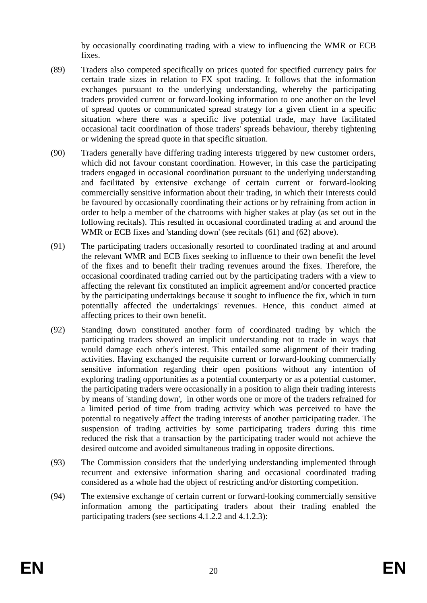by occasionally coordinating trading with a view to influencing the WMR or ECB fixes.

- (89) Traders also competed specifically on prices quoted for specified currency pairs for certain trade sizes in relation to FX spot trading. It follows that the information exchanges pursuant to the underlying understanding, whereby the participating traders provided current or forward-looking information to one another on the level of spread quotes or communicated spread strategy for a given client in a specific situation where there was a specific live potential trade, may have facilitated occasional tacit coordination of those traders' spreads behaviour, thereby tightening or widening the spread quote in that specific situation.
- (90) Traders generally have differing trading interests triggered by new customer orders, which did not favour constant coordination. However, in this case the participating traders engaged in occasional coordination pursuant to the underlying understanding and facilitated by extensive exchange of certain current or forward-looking commercially sensitive information about their trading, in which their interests could be favoured by occasionally coordinating their actions or by refraining from action in order to help a member of the chatrooms with higher stakes at play (as set out in the following recitals). This resulted in occasional coordinated trading at and around the WMR or ECB fixes and 'standing down' (see recitals [\(61\)](#page-14-0) and [\(62\)](#page-14-1) above).
- (91) The participating traders occasionally resorted to coordinated trading at and around the relevant WMR and ECB fixes seeking to influence to their own benefit the level of the fixes and to benefit their trading revenues around the fixes. Therefore, the occasional coordinated trading carried out by the participating traders with a view to affecting the relevant fix constituted an implicit agreement and/or concerted practice by the participating undertakings because it sought to influence the fix, which in turn potentially affected the undertakings' revenues. Hence, this conduct aimed at affecting prices to their own benefit.
- (92) Standing down constituted another form of coordinated trading by which the participating traders showed an implicit understanding not to trade in ways that would damage each other's interest. This entailed some alignment of their trading activities. Having exchanged the requisite current or forward-looking commercially sensitive information regarding their open positions without any intention of exploring trading opportunities as a potential counterparty or as a potential customer, the participating traders were occasionally in a position to align their trading interests by means of 'standing down', in other words one or more of the traders refrained for a limited period of time from trading activity which was perceived to have the potential to negatively affect the trading interests of another participating trader. The suspension of trading activities by some participating traders during this time reduced the risk that a transaction by the participating trader would not achieve the desired outcome and avoided simultaneous trading in opposite directions.
- (93) The Commission considers that the underlying understanding implemented through recurrent and extensive information sharing and occasional coordinated trading considered as a whole had the object of restricting and/or distorting competition.
- (94) The extensive exchange of certain current or forward-looking commercially sensitive information among the participating traders about their trading enabled the participating traders (see sections [4.1.2.2](#page-11-0) and [4.1.2.3\)](#page-13-0):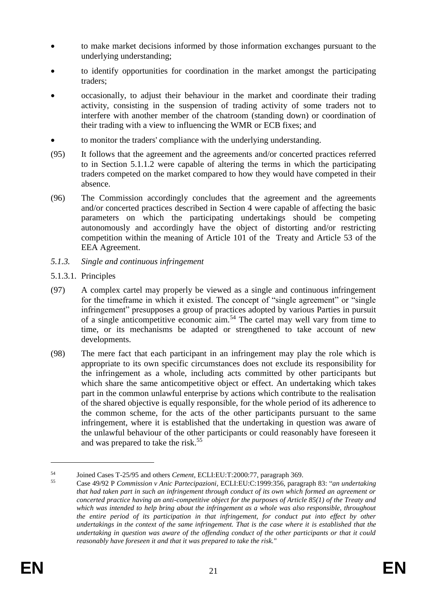- to make market decisions informed by those information exchanges pursuant to the underlying understanding;
- to identify opportunities for coordination in the market amongst the participating traders;
- occasionally, to adjust their behaviour in the market and coordinate their trading activity, consisting in the suspension of trading activity of some traders not to interfere with another member of the chatroom (standing down) or coordination of their trading with a view to influencing the WMR or ECB fixes; and
- to monitor the traders' compliance with the underlying understanding.
- (95) It follows that the agreement and the agreements and/or concerted practices referred to in Section [5.1.1.2](#page-17-0) were capable of altering the terms in which the participating traders competed on the market compared to how they would have competed in their absence.
- (96) The Commission accordingly concludes that the agreement and the agreements and/or concerted practices described in Section [4](#page-9-0) were capable of affecting the basic parameters on which the participating undertakings should be competing autonomously and accordingly have the object of distorting and/or restricting competition within the meaning of Article 101 of the Treaty and Article 53 of the EEA Agreement.
- *5.1.3. Single and continuous infringement*
- 5.1.3.1. Principles
- (97) A complex cartel may properly be viewed as a single and continuous infringement for the timeframe in which it existed. The concept of "single agreement" or "single infringement" presupposes a group of practices adopted by various Parties in pursuit of a single anticompetitive economic aim.<sup>54</sup> The cartel may well vary from time to time, or its mechanisms be adapted or strengthened to take account of new developments.
- (98) The mere fact that each participant in an infringement may play the role which is appropriate to its own specific circumstances does not exclude its responsibility for the infringement as a whole, including acts committed by other participants but which share the same anticompetitive object or effect. An undertaking which takes part in the common unlawful enterprise by actions which contribute to the realisation of the shared objective is equally responsible, for the whole period of its adherence to the common scheme, for the acts of the other participants pursuant to the same infringement, where it is established that the undertaking in question was aware of the unlawful behaviour of the other participants or could reasonably have foreseen it and was prepared to take the risk.<sup>55</sup>

<sup>54</sup> Joined Cases T-25/95 and others *Cement*, ECLI:EU:T:2000:77, paragraph 369.

<sup>55</sup> Case 49/92 P *Commission v Anic Partecipazioni,* ECLI:EU:C:1999:356, paragraph 83: "*an undertaking that had taken part in such an infringement through conduct of its own which formed an agreement or concerted practice having an anti-competitive object for the purposes of Article 85(1) of the Treaty and which was intended to help bring about the infringement as a whole was also responsible, throughout the entire period of its participation in that infringement, for conduct put into effect by other undertakings in the context of the same infringement. That is the case where it is established that the undertaking in question was aware of the offending conduct of the other participants or that it could reasonably have foreseen it and that it was prepared to take the risk.*"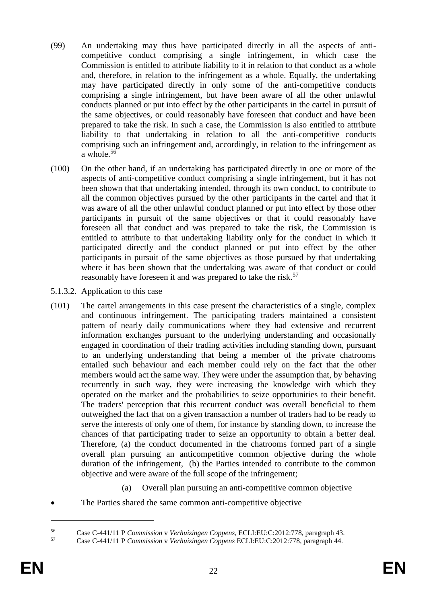- (99) An undertaking may thus have participated directly in all the aspects of anticompetitive conduct comprising a single infringement, in which case the Commission is entitled to attribute liability to it in relation to that conduct as a whole and, therefore, in relation to the infringement as a whole. Equally, the undertaking may have participated directly in only some of the anti-competitive conducts comprising a single infringement, but have been aware of all the other unlawful conducts planned or put into effect by the other participants in the cartel in pursuit of the same objectives, or could reasonably have foreseen that conduct and have been prepared to take the risk. In such a case, the Commission is also entitled to attribute liability to that undertaking in relation to all the anti-competitive conducts comprising such an infringement and, accordingly, in relation to the infringement as a whole. $56$
- (100) On the other hand, if an undertaking has participated directly in one or more of the aspects of anti-competitive conduct comprising a single infringement, but it has not been shown that that undertaking intended, through its own conduct, to contribute to all the common objectives pursued by the other participants in the cartel and that it was aware of all the other unlawful conduct planned or put into effect by those other participants in pursuit of the same objectives or that it could reasonably have foreseen all that conduct and was prepared to take the risk, the Commission is entitled to attribute to that undertaking liability only for the conduct in which it participated directly and the conduct planned or put into effect by the other participants in pursuit of the same objectives as those pursued by that undertaking where it has been shown that the undertaking was aware of that conduct or could reasonably have foreseen it and was prepared to take the risk.<sup>57</sup>
- 5.1.3.2. Application to this case
- (101) The cartel arrangements in this case present the characteristics of a single, complex and continuous infringement. The participating traders maintained a consistent pattern of nearly daily communications where they had extensive and recurrent information exchanges pursuant to the underlying understanding and occasionally engaged in coordination of their trading activities including standing down, pursuant to an underlying understanding that being a member of the private chatrooms entailed such behaviour and each member could rely on the fact that the other members would act the same way. They were under the assumption that, by behaving recurrently in such way, they were increasing the knowledge with which they operated on the market and the probabilities to seize opportunities to their benefit. The traders' perception that this recurrent conduct was overall beneficial to them outweighed the fact that on a given transaction a number of traders had to be ready to serve the interests of only one of them, for instance by standing down, to increase the chances of that participating trader to seize an opportunity to obtain a better deal. Therefore, (a) the conduct documented in the chatrooms formed part of a single overall plan pursuing an anticompetitive common objective during the whole duration of the infringement, (b) the Parties intended to contribute to the common objective and were aware of the full scope of the infringement;
	- (a) Overall plan pursuing an anti-competitive common objective
- The Parties shared the same common anti-competitive objective

<sup>56</sup> Case C-441/11 P *Commission* v *Verhuizingen Coppens*, ECLI:EU:C:2012:778, paragraph 43.

<sup>57</sup> Case C-441/11 P *Commission* v *Verhuizingen Coppens* ECLI:EU:C:2012:778, paragraph 44.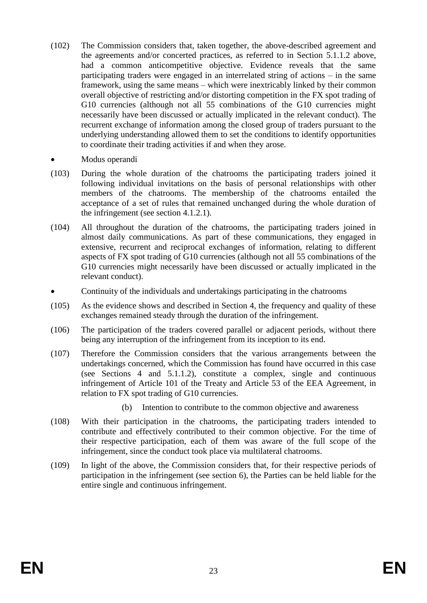- (102) The Commission considers that, taken together, the above-described agreement and the agreements and/or concerted practices, as referred to in Section [5.1.1.2](#page-17-0) above, had a common anticompetitive objective. Evidence reveals that the same participating traders were engaged in an interrelated string of actions – in the same framework, using the same means – which were inextricably linked by their common overall objective of restricting and/or distorting competition in the FX spot trading of G10 currencies (although not all 55 combinations of the G10 currencies might necessarily have been discussed or actually implicated in the relevant conduct). The recurrent exchange of information among the closed group of traders pursuant to the underlying understanding allowed them to set the conditions to identify opportunities to coordinate their trading activities if and when they arose.
- Modus operandi
- (103) During the whole duration of the chatrooms the participating traders joined it following individual invitations on the basis of personal relationships with other members of the chatrooms. The membership of the chatrooms entailed the acceptance of a set of rules that remained unchanged during the whole duration of the infringement (see section [4.1.2.1\)](#page-10-1).
- (104) All throughout the duration of the chatrooms, the participating traders joined in almost daily communications. As part of these communications, they engaged in extensive, recurrent and reciprocal exchanges of information, relating to different aspects of FX spot trading of G10 currencies (although not all 55 combinations of the G10 currencies might necessarily have been discussed or actually implicated in the relevant conduct).
- Continuity of the individuals and undertakings participating in the chatrooms
- (105) As the evidence shows and described in Section [4,](#page-9-0) the frequency and quality of these exchanges remained steady through the duration of the infringement.
- (106) The participation of the traders covered parallel or adjacent periods, without there being any interruption of the infringement from its inception to its end.
- (107) Therefore the Commission considers that the various arrangements between the undertakings concerned, which the Commission has found have occurred in this case (see Sections [4](#page-9-0) and [5.1.1.2\)](#page-17-0), constitute a complex, single and continuous infringement of Article 101 of the Treaty and Article 53 of the EEA Agreement, in relation to FX spot trading of G10 currencies.
	- (b) Intention to contribute to the common objective and awareness
- (108) With their participation in the chatrooms, the participating traders intended to contribute and effectively contributed to their common objective. For the time of their respective participation, each of them was aware of the full scope of the infringement, since the conduct took place via multilateral chatrooms.
- (109) In light of the above, the Commission considers that, for their respective periods of participation in the infringement (see section [6\)](#page-25-0), the Parties can be held liable for the entire single and continuous infringement.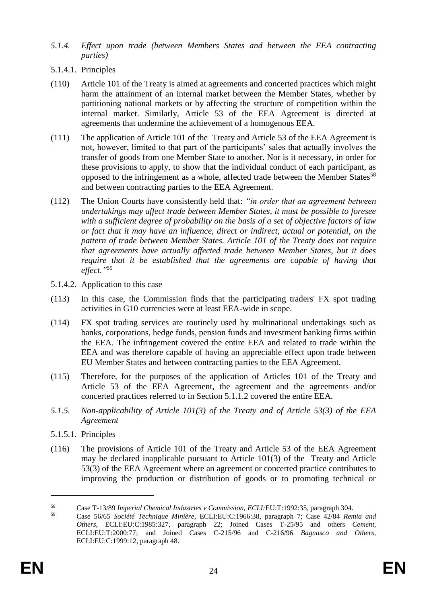- *5.1.4. Effect upon trade (between Members States and between the EEA contracting parties)*
- 5.1.4.1. Principles
- (110) Article 101 of the Treaty is aimed at agreements and concerted practices which might harm the attainment of an internal market between the Member States, whether by partitioning national markets or by affecting the structure of competition within the internal market. Similarly, Article 53 of the EEA Agreement is directed at agreements that undermine the achievement of a homogenous EEA.
- (111) The application of Article 101 of the Treaty and Article 53 of the EEA Agreement is not, however, limited to that part of the participants' sales that actually involves the transfer of goods from one Member State to another. Nor is it necessary, in order for these provisions to apply, to show that the individual conduct of each participant, as opposed to the infringement as a whole, affected trade between the Member States<sup>58</sup> and between contracting parties to the EEA Agreement.
- (112) The Union Courts have consistently held that: *"in order that an agreement between undertakings may affect trade between Member States, it must be possible to foresee with a sufficient degree of probability on the basis of a set of objective factors of law or fact that it may have an influence, direct or indirect, actual or potential, on the pattern of trade between Member States. Article 101 of the Treaty does not require that agreements have actually affected trade between Member States, but it does require that it be established that the agreements are capable of having that effect."*<sup>59</sup>
- 5.1.4.2. Application to this case
- (113) In this case, the Commission finds that the participating traders' FX spot trading activities in G10 currencies were at least EEA-wide in scope.
- (114) FX spot trading services are routinely used by multinational undertakings such as banks, corporations, hedge funds, pension funds and investment banking firms within the EEA. The infringement covered the entire EEA and related to trade within the EEA and was therefore capable of having an appreciable effect upon trade between EU Member States and between contracting parties to the EEA Agreement.
- (115) Therefore, for the purposes of the application of Articles 101 of the Treaty and Article 53 of the EEA Agreement, the agreement and the agreements and/or concerted practices referred to in Section 5.1.1.2 covered the entire EEA.
- *5.1.5. Non-applicability of Article 101(3) of the Treaty and of Article 53(3) of the EEA Agreement*
- 5.1.5.1. Principles
- (116) The provisions of Article 101 of the Treaty and Article 53 of the EEA Agreement may be declared inapplicable pursuant to Article 101(3) of the Treaty and Article 53(3) of the EEA Agreement where an agreement or concerted practice contributes to improving the production or distribution of goods or to promoting technical or

<sup>58</sup> Case T-13/89 *Imperial Chemical Industries v Commission, ECLI:*EU:T:1992:35, paragraph 304.

<sup>59</sup> Case 56/65 *Société Technique Minière*, ECLI:EU:C:1966:38, paragraph 7; Case 42/84 *Remia and Others*, ECLI:EU:C:1985:327, paragraph 22; Joined Cases T-25/95 and others *Cement*, ECLI:EU:T:2000:77; and Joined Cases C-215/96 and C-216/96 *Bagnasco and Others*, ECLI:EU:C:1999:12, paragraph 48.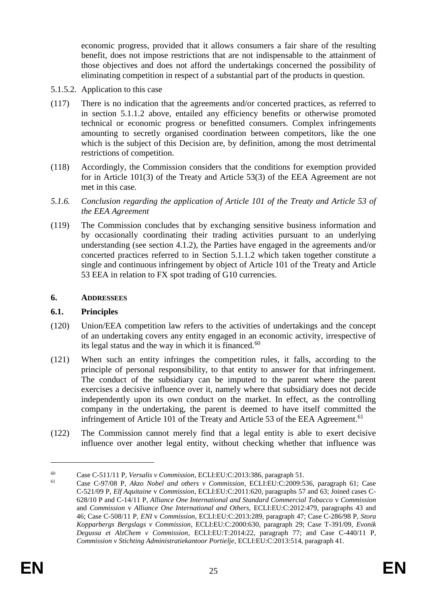economic progress, provided that it allows consumers a fair share of the resulting benefit, does not impose restrictions that are not indispensable to the attainment of those objectives and does not afford the undertakings concerned the possibility of eliminating competition in respect of a substantial part of the products in question.

- 5.1.5.2. Application to this case
- (117) There is no indication that the agreements and/or concerted practices, as referred to in section 5.1.1.2 above, entailed any efficiency benefits or otherwise promoted technical or economic progress or benefitted consumers. Complex infringements amounting to secretly organised coordination between competitors, like the one which is the subject of this Decision are, by definition, among the most detrimental restrictions of competition.
- (118) Accordingly, the Commission considers that the conditions for exemption provided for in Article 101(3) of the Treaty and Article 53(3) of the EEA Agreement are not met in this case.
- *5.1.6. Conclusion regarding the application of Article 101 of the Treaty and Article 53 of the EEA Agreement*
- (119) The Commission concludes that by exchanging sensitive business information and by occasionally coordinating their trading activities pursuant to an underlying understanding (see section 4.1.2), the Parties have engaged in the agreements and/or concerted practices referred to in Section 5.1.1.2 which taken together constitute a single and continuous infringement by object of Article 101 of the Treaty and Article 53 EEA in relation to FX spot trading of G10 currencies.

#### <span id="page-25-0"></span>**6. ADDRESSEES**

## **6.1. Principles**

- (120) Union/EEA competition law refers to the activities of undertakings and the concept of an undertaking covers any entity engaged in an economic activity, irrespective of its legal status and the way in which it is financed. $60$
- (121) When such an entity infringes the competition rules, it falls, according to the principle of personal responsibility, to that entity to answer for that infringement. The conduct of the subsidiary can be imputed to the parent where the parent exercises a decisive influence over it, namely where that subsidiary does not decide independently upon its own conduct on the market. In effect, as the controlling company in the undertaking, the parent is deemed to have itself committed the infringement of Article 101 of the Treaty and Article 53 of the EEA Agreement.<sup>61</sup>
- (122) The Commission cannot merely find that a legal entity is able to exert decisive influence over another legal entity, without checking whether that influence was

<sup>60</sup> Case C-511/11 P, *Versalis v Commission*, ECLI:EU:C:2013:386, paragraph 51.

<sup>61</sup> Case C-97/08 P, *Akzo Nobel and others v Commission*, ECLI:EU:C:2009:536, paragraph 61; Case C-521/09 P, *Elf Aquitaine* v *Commission*, ECLI:EU:C:2011:620, paragraphs 57 and 63; Joined cases C-628/10 P and C-14/11 P, *Alliance One International and Standard Commercial Tobacco* v *Commission*  and *Commission* v *Alliance One International and Others,* ECLI:EU:C:2012:479, paragraphs 43 and 46; Case C-508/11 P, *ENI* v *Commission*, ECLI:EU:C:2013:289, paragraph 47; Case C-286/98 P, *Stora Kopparbergs Bergslags v Commission*, ECLI:EU:C:2000:630, paragraph 29; Case T-391/09, *Evonik Degussa et AlzChem v Commission*, ECLI:EU:T:2014:22, paragraph 77; and Case C-440/11 P, *Commission v Stichting Administratiekantoor Portielje*, ECLI:EU:C:2013:514, paragraph 41.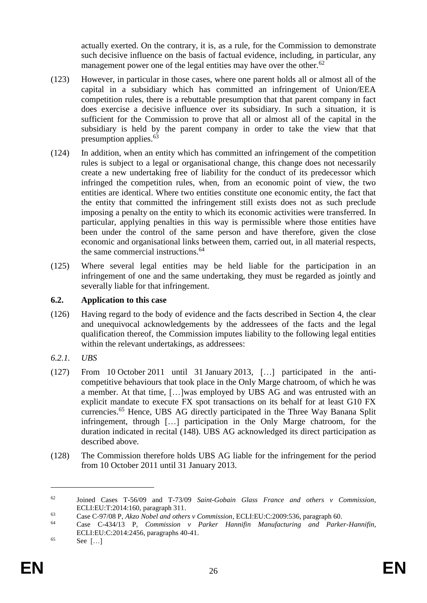actually exerted. On the contrary, it is, as a rule, for the Commission to demonstrate such decisive influence on the basis of factual evidence, including, in particular, any management power one of the legal entities may have over the other.<sup>62</sup>

- <span id="page-26-0"></span>(123) However, in particular in those cases, where one parent holds all or almost all of the capital in a subsidiary which has committed an infringement of Union/EEA competition rules, there is a rebuttable presumption that that parent company in fact does exercise a decisive influence over its subsidiary. In such a situation, it is sufficient for the Commission to prove that all or almost all of the capital in the subsidiary is held by the parent company in order to take the view that that presumption applies. $63$
- (124) In addition, when an entity which has committed an infringement of the competition rules is subject to a legal or organisational change, this change does not necessarily create a new undertaking free of liability for the conduct of its predecessor which infringed the competition rules, when, from an economic point of view, the two entities are identical. Where two entities constitute one economic entity, the fact that the entity that committed the infringement still exists does not as such preclude imposing a penalty on the entity to which its economic activities were transferred. In particular, applying penalties in this way is permissible where those entities have been under the control of the same person and have therefore, given the close economic and organisational links between them, carried out, in all material respects, the same commercial instructions.<sup>64</sup>
- (125) Where several legal entities may be held liable for the participation in an infringement of one and the same undertaking, they must be regarded as jointly and severally liable for that infringement.

## <span id="page-26-1"></span>**6.2. Application to this case**

- (126) Having regard to the body of evidence and the facts described in Section 4, the clear and unequivocal acknowledgements by the addressees of the facts and the legal qualification thereof, the Commission imputes liability to the following legal entities within the relevant undertakings, as addressees:
- *6.2.1. UBS*
- (127) From 10 October 2011 until 31 January 2013, […] participated in the anticompetitive behaviours that took place in the Only Marge chatroom, of which he was a member. At that time, […]was employed by UBS AG and was entrusted with an explicit mandate to execute FX spot transactions on its behalf for at least G10 FX currencies.<sup>65</sup> Hence, UBS AG directly participated in the Three Way Banana Split infringement, through […] participation in the Only Marge chatroom, for the duration indicated in recital [\(148\).](#page-30-1) UBS AG acknowledged its direct participation as described above.
- (128) The Commission therefore holds UBS AG liable for the infringement for the period from 10 October 2011 until 31 January 2013.

<sup>62</sup> Joined Cases T-56/09 and T-73/09 *Saint-Gobain Glass France and others v Commission*, ECLI:EU:T:2014:160, paragraph 311.

<sup>63</sup> Case C-97/08 P, *Akzo Nobel and others v Commission*, ECLI:EU:C:2009:536, paragraph 60.

<sup>64</sup> Case C-434/13 P, *Commission v Parker Hannifin Manufacturing and Parker-Hannifin*, ECLI:EU:C:2014:2456, paragraphs 40-41.

<sup>65</sup> See […]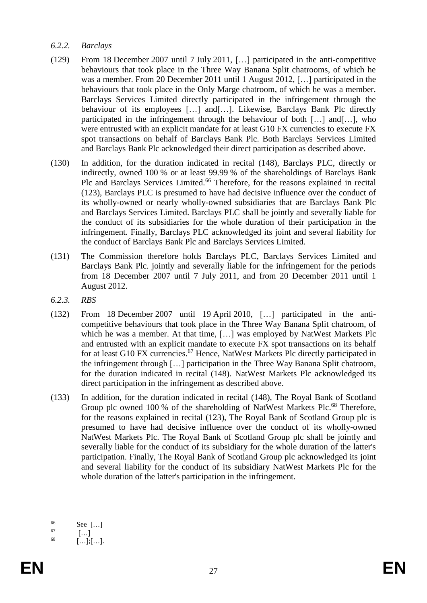## *6.2.2. Barclays*

- (129) From 18 December 2007 until 7 July 2011, […] participated in the anti-competitive behaviours that took place in the Three Way Banana Split chatrooms, of which he was a member. From 20 December 2011 until 1 August 2012, […] participated in the behaviours that took place in the Only Marge chatroom, of which he was a member. Barclays Services Limited directly participated in the infringement through the behaviour of its employees [...] and [...]. Likewise, Barclays Bank Plc directly participated in the infringement through the behaviour of both […] and[…], who were entrusted with an explicit mandate for at least G10 FX currencies to execute FX spot transactions on behalf of Barclays Bank Plc. Both Barclays Services Limited and Barclays Bank Plc acknowledged their direct participation as described above.
- (130) In addition, for the duration indicated in recital [\(148\),](#page-30-1) Barclays PLC, directly or indirectly, owned 100 % or at least 99.99 % of the shareholdings of Barclays Bank Plc and Barclays Services Limited.<sup>66</sup> Therefore, for the reasons explained in recital [\(123\),](#page-26-0) Barclays PLC is presumed to have had decisive influence over the conduct of its wholly-owned or nearly wholly-owned subsidiaries that are Barclays Bank Plc and Barclays Services Limited. Barclays PLC shall be jointly and severally liable for the conduct of its subsidiaries for the whole duration of their participation in the infringement. Finally, Barclays PLC acknowledged its joint and several liability for the conduct of Barclays Bank Plc and Barclays Services Limited.
- (131) The Commission therefore holds Barclays PLC, Barclays Services Limited and Barclays Bank Plc. jointly and severally liable for the infringement for the periods from 18 December 2007 until 7 July 2011, and from 20 December 2011 until 1 August 2012.
- *6.2.3. RBS*
- (132) From 18 December 2007 until 19 April 2010, […] participated in the anticompetitive behaviours that took place in the Three Way Banana Split chatroom, of which he was a member. At that time, […] was employed by NatWest Markets Plc and entrusted with an explicit mandate to execute FX spot transactions on its behalf for at least G10 FX currencies.<sup>67</sup> Hence, NatWest Markets Plc directly participated in the infringement through […] participation in the Three Way Banana Split chatroom, for the duration indicated in recital [\(148\).](#page-30-1) NatWest Markets Plc acknowledged its direct participation in the infringement as described above.
- (133) In addition, for the duration indicated in recital [\(148\),](#page-30-1) The Royal Bank of Scotland Group plc owned 100 % of the shareholding of NatWest Markets Plc.<sup>68</sup> Therefore, for the reasons explained in recital [\(123\),](#page-26-0) The Royal Bank of Scotland Group plc is presumed to have had decisive influence over the conduct of its wholly-owned NatWest Markets Plc. The Royal Bank of Scotland Group plc shall be jointly and severally liable for the conduct of its subsidiary for the whole duration of the latter's participation. Finally, The Royal Bank of Scotland Group plc acknowledged its joint and several liability for the conduct of its subsidiary NatWest Markets Plc for the whole duration of the latter's participation in the infringement.

 $\begin{array}{c} 66 \\ 67 \end{array}$  See [...]

 $\begin{bmatrix} 67 \\ 68 \end{bmatrix}$  [...]

 $[...]$ ; $[...]$ .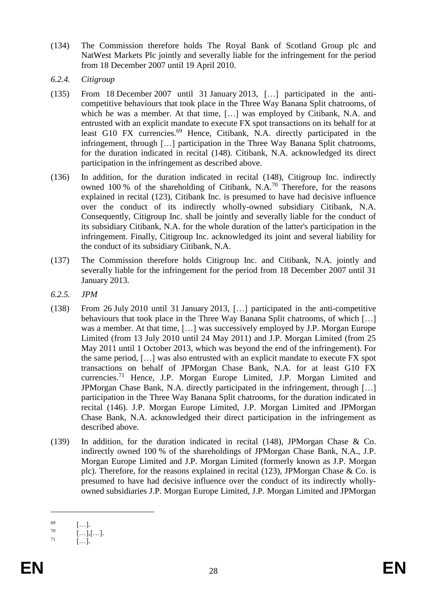- (134) The Commission therefore holds The Royal Bank of Scotland Group plc and NatWest Markets Plc jointly and severally liable for the infringement for the period from 18 December 2007 until 19 April 2010.
- *6.2.4. Citigroup*
- (135) From 18 December 2007 until 31 January 2013, […] participated in the anticompetitive behaviours that took place in the Three Way Banana Split chatrooms, of which he was a member. At that time, […] was employed by Citibank, N.A. and entrusted with an explicit mandate to execute FX spot transactions on its behalf for at least G10 FX currencies.<sup>69</sup> Hence, Citibank, N.A. directly participated in the infringement, through […] participation in the Three Way Banana Split chatrooms, for the duration indicated in recital [\(148\).](#page-30-1) Citibank, N.A. acknowledged its direct participation in the infringement as described above.
- (136) In addition, for the duration indicated in recital [\(148\),](#page-30-1) Citigroup Inc. indirectly owned 100 % of the shareholding of Citibank, N.A.<sup>70</sup> Therefore, for the reasons explained in recital [\(123\),](#page-26-0) Citibank Inc. is presumed to have had decisive influence over the conduct of its indirectly wholly-owned subsidiary Citibank, N.A. Consequently, Citigroup Inc. shall be jointly and severally liable for the conduct of its subsidiary Citibank, N.A. for the whole duration of the latter's participation in the infringement. Finally, Citigroup Inc. acknowledged its joint and several liability for the conduct of its subsidiary Citibank, N.A.
- (137) The Commission therefore holds Citigroup Inc. and Citibank, N.A. jointly and severally liable for the infringement for the period from 18 December 2007 until 31 January 2013.
- *6.2.5. JPM*
- (138) From 26 July 2010 until 31 January 2013, […] participated in the anti-competitive behaviours that took place in the Three Way Banana Split chatrooms, of which [...] was a member. At that time, […] was successively employed by J.P. Morgan Europe Limited (from 13 July 2010 until 24 May 2011) and J.P. Morgan Limited (from 25 May 2011 until 1 October 2013, which was beyond the end of the infringement). For the same period, […] was also entrusted with an explicit mandate to execute FX spot transactions on behalf of JPMorgan Chase Bank, N.A. for at least G10 FX currencies.<sup>71</sup> Hence, J.P. Morgan Europe Limited, J.P. Morgan Limited and JPMorgan Chase Bank, N.A. directly participated in the infringement, through […] participation in the Three Way Banana Split chatrooms, for the duration indicated in recital [\(146\).](#page-30-2) J.P. Morgan Europe Limited, J.P. Morgan Limited and JPMorgan Chase Bank, N.A. acknowledged their direct participation in the infringement as described above.
- (139) In addition, for the duration indicated in recital [\(148\),](#page-30-1) JPMorgan Chase & Co. indirectly owned 100 % of the shareholdings of JPMorgan Chase Bank, N.A., J.P. Morgan Europe Limited and J.P. Morgan Limited (formerly known as J.P. Morgan plc). Therefore, for the reasons explained in recital [\(123\),](#page-26-0) JPMorgan Chase & Co. is presumed to have had decisive influence over the conduct of its indirectly whollyowned subsidiaries J.P. Morgan Europe Limited, J.P. Morgan Limited and JPMorgan

 $\begin{bmatrix} 69 \\ 70 \end{bmatrix}$  [...].

 $\begin{bmatrix} 70 \\ 11 \end{bmatrix}$  [...],[...].

 $[...]$ .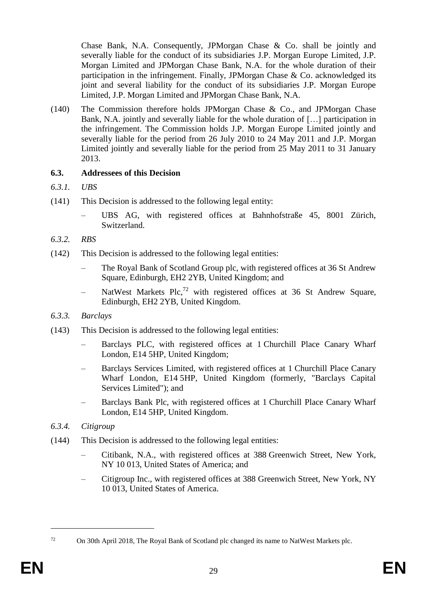Chase Bank, N.A. Consequently, JPMorgan Chase & Co. shall be jointly and severally liable for the conduct of its subsidiaries J.P. Morgan Europe Limited, J.P. Morgan Limited and JPMorgan Chase Bank, N.A. for the whole duration of their participation in the infringement. Finally, JPMorgan Chase & Co. acknowledged its joint and several liability for the conduct of its subsidiaries J.P. Morgan Europe Limited, J.P. Morgan Limited and JPMorgan Chase Bank, N.A.

(140) The Commission therefore holds JPMorgan Chase & Co., and JPMorgan Chase Bank, N.A. jointly and severally liable for the whole duration of […] participation in the infringement. The Commission holds J.P. Morgan Europe Limited jointly and severally liable for the period from 26 July 2010 to 24 May 2011 and J.P. Morgan Limited jointly and severally liable for the period from 25 May 2011 to 31 January 2013.

## **6.3. Addressees of this Decision**

- *6.3.1. UBS*
- (141) This Decision is addressed to the following legal entity:
	- UBS AG, with registered offices at Bahnhofstraße 45, 8001 Zürich, Switzerland.
- *6.3.2. RBS*
- (142) This Decision is addressed to the following legal entities:
	- The Royal Bank of Scotland Group plc, with registered offices at 36 St Andrew Square, Edinburgh, EH2 2YB, United Kingdom; and
	- NatWest Markets Plc, $72$  with registered offices at 36 St Andrew Square, Edinburgh, EH2 2YB, United Kingdom.
- *6.3.3. Barclays*
- (143) This Decision is addressed to the following legal entities:
	- Barclays PLC, with registered offices at 1 Churchill Place Canary Wharf London, E14 5HP, United Kingdom;
	- Barclays Services Limited, with registered offices at 1 Churchill Place Canary Wharf London, E14 5HP, United Kingdom (formerly, "Barclays Capital Services Limited"); and
	- Barclays Bank Plc, with registered offices at 1 Churchill Place Canary Wharf London, E14 5HP, United Kingdom.
- *6.3.4. Citigroup*
- (144) This Decision is addressed to the following legal entities:
	- Citibank, N.A., with registered offices at 388 Greenwich Street, New York, NY 10 013, United States of America; and
	- Citigroup Inc., with registered offices at 388 Greenwich Street, New York, NY 10 013, United States of America.

<sup>&</sup>lt;u>.</u>

<sup>72</sup> On 30th April 2018, The Royal Bank of Scotland plc changed its name to NatWest Markets plc.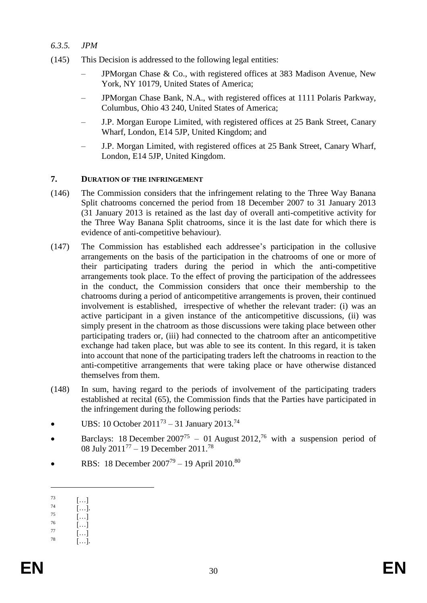- *6.3.5. JPM*
- (145) This Decision is addressed to the following legal entities:
	- JPMorgan Chase & Co., with registered offices at 383 Madison Avenue, New York, NY 10179, United States of America;
	- JPMorgan Chase Bank, N.A., with registered offices at 1111 Polaris Parkway, Columbus, Ohio 43 240, United States of America;
	- J.P. Morgan Europe Limited, with registered offices at 25 Bank Street, Canary Wharf, London, E14 5JP, United Kingdom; and
	- J.P. Morgan Limited, with registered offices at 25 Bank Street, Canary Wharf, London, E14 5JP, United Kingdom.

#### **7. DURATION OF THE INFRINGEMENT**

- <span id="page-30-2"></span>(146) The Commission considers that the infringement relating to the Three Way Banana Split chatrooms concerned the period from 18 December 2007 to 31 January 2013 (31 January 2013 is retained as the last day of overall anti-competitive activity for the Three Way Banana Split chatrooms, since it is the last date for which there is evidence of anti-competitive behaviour).
- <span id="page-30-0"></span>(147) The Commission has established each addressee's participation in the collusive arrangements on the basis of the participation in the chatrooms of one or more of their participating traders during the period in which the anti-competitive arrangements took place. To the effect of proving the participation of the addressees in the conduct, the Commission considers that once their membership to the chatrooms during a period of anticompetitive arrangements is proven, their continued involvement is established, irrespective of whether the relevant trader: (i) was an active participant in a given instance of the anticompetitive discussions, (ii) was simply present in the chatroom as those discussions were taking place between other participating traders or, (iii) had connected to the chatroom after an anticompetitive exchange had taken place, but was able to see its content. In this regard, it is taken into account that none of the participating traders left the chatrooms in reaction to the anti-competitive arrangements that were taking place or have otherwise distanced themselves from them.
- <span id="page-30-1"></span>(148) In sum, having regard to the periods of involvement of the participating traders established at recital [\(65\),](#page-14-2) the Commission finds that the Parties have participated in the infringement during the following periods:
- $\bullet$  UBS: 10 October 2011<sup>73</sup> 31 January 2013.<sup>74</sup>
- Barclays: 18 December 2007<sup>75</sup> 01 August 2012,<sup>76</sup> with a suspension period of 08 July 2011<sup>77</sup> – 19 December 2011.<sup>78</sup>
- RBS: 18 December  $2007^{79} 19$  April  $2010$ .<sup>80</sup>

 $\begin{bmatrix} 73 \\ 74 \end{bmatrix}$   $\begin{bmatrix} \dots \\ 1 \end{bmatrix}$ 

 $\begin{bmatrix} 74 \\ 75 \end{bmatrix}$   $\begin{bmatrix} \dots \\ \dots \end{bmatrix}$ 

 $\begin{bmatrix} 75 \\ 76 \end{bmatrix}$   $\begin{bmatrix} \dots \\ \dots \end{bmatrix}$ 

 $\begin{bmatrix} 76 \\ 77 \end{bmatrix}$   $\begin{bmatrix} \dots \\ \dots \end{bmatrix}$ 

 $\begin{bmatrix} 77 \\ 78 \end{bmatrix}$   $\begin{bmatrix} \dots \\ \dots \end{bmatrix}$  $[...]$ .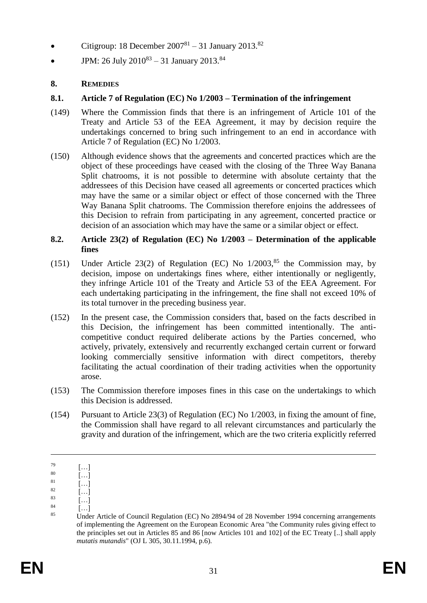- Citigroup: 18 December  $2007^{81} 31$  January  $2013$ .<sup>82</sup>
- JPM: 26 July  $2010^{83} 31$  January  $2013$ .<sup>84</sup>

# **8. REMEDIES**

# **8.1. Article 7 of Regulation (EC) No 1/2003 – Termination of the infringement**

- (149) Where the Commission finds that there is an infringement of Article 101 of the Treaty and Article 53 of the EEA Agreement, it may by decision require the undertakings concerned to bring such infringement to an end in accordance with Article 7 of Regulation (EC) No 1/2003.
- (150) Although evidence shows that the agreements and concerted practices which are the object of these proceedings have ceased with the closing of the Three Way Banana Split chatrooms, it is not possible to determine with absolute certainty that the addressees of this Decision have ceased all agreements or concerted practices which may have the same or a similar object or effect of those concerned with the Three Way Banana Split chatrooms. The Commission therefore enjoins the addressees of this Decision to refrain from participating in any agreement, concerted practice or decision of an association which may have the same or a similar object or effect.

## **8.2. Article 23(2) of Regulation (EC) No 1/2003 – Determination of the applicable fines**

- (151) Under Article 23(2) of Regulation (EC) No  $1/2003$ ,  $85$  the Commission may, by decision, impose on undertakings fines where, either intentionally or negligently, they infringe Article 101 of the Treaty and Article 53 of the EEA Agreement. For each undertaking participating in the infringement, the fine shall not exceed 10% of its total turnover in the preceding business year.
- (152) In the present case, the Commission considers that, based on the facts described in this Decision, the infringement has been committed intentionally. The anticompetitive conduct required deliberate actions by the Parties concerned, who actively, privately, extensively and recurrently exchanged certain current or forward looking commercially sensitive information with direct competitors, thereby facilitating the actual coordination of their trading activities when the opportunity arose.
- (153) The Commission therefore imposes fines in this case on the undertakings to which this Decision is addressed.
- (154) Pursuant to Article 23(3) of Regulation (EC) No 1/2003, in fixing the amount of fine, the Commission shall have regard to all relevant circumstances and particularly the gravity and duration of the infringement, which are the two criteria explicitly referred

 $\overline{a}$ 

 $\begin{bmatrix} 79 \\ 80 \end{bmatrix}$   $\begin{bmatrix} \dots \\ \dots \end{bmatrix}$ 

 $\begin{bmatrix} 80 \\ 81 \end{bmatrix}$   $\begin{bmatrix} \ldots \\ \ldots \end{bmatrix}$ 

 $\begin{bmatrix} 81 \\ 82 \end{bmatrix}$   $\begin{bmatrix} \ldots \\ \ldots \end{bmatrix}$ 

 $\begin{bmatrix} 82 \\ 83 \end{bmatrix}$   $\begin{bmatrix} \ldots \\ \end{bmatrix}$ 

 $\begin{bmatrix} 83 \\ 84 \end{bmatrix}$   $\begin{bmatrix} \dots \\ \dots \end{bmatrix}$ 

 $\begin{bmatrix} 84 \\ 85 \end{bmatrix}$  […]

Under Article of Council Regulation (EC) No 2894/94 of 28 November 1994 concerning arrangements of implementing the Agreement on the European Economic Area "the Community rules giving effect to the principles set out in Articles 85 and 86 [now Articles 101 and 102] of the EC Treaty [..] shall apply *mutatis mutandis*" (OJ L 305, 30.11.1994, p.6).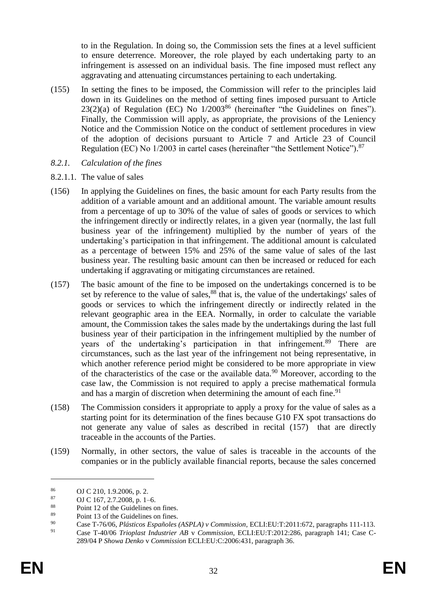to in the Regulation. In doing so, the Commission sets the fines at a level sufficient to ensure deterrence. Moreover, the role played by each undertaking party to an infringement is assessed on an individual basis. The fine imposed must reflect any aggravating and attenuating circumstances pertaining to each undertaking.

- (155) In setting the fines to be imposed, the Commission will refer to the principles laid down in its Guidelines on the method of setting fines imposed pursuant to Article  $23(2)(a)$  of Regulation (EC) No  $1/2003^{86}$  (hereinafter "the Guidelines on fines"). Finally, the Commission will apply, as appropriate, the provisions of the Leniency Notice and the Commission Notice on the conduct of settlement procedures in view of the adoption of decisions pursuant to Article 7 and Article 23 of Council Regulation (EC) No 1/2003 in cartel cases (hereinafter "the Settlement Notice").<sup>87</sup>
- *8.2.1. Calculation of the fines*
- 8.2.1.1. The value of sales
- (156) In applying the Guidelines on fines, the basic amount for each Party results from the addition of a variable amount and an additional amount. The variable amount results from a percentage of up to 30% of the value of sales of goods or services to which the infringement directly or indirectly relates, in a given year (normally, the last full business year of the infringement) multiplied by the number of years of the undertaking's participation in that infringement. The additional amount is calculated as a percentage of between 15% and 25% of the same value of sales of the last business year. The resulting basic amount can then be increased or reduced for each undertaking if aggravating or mitigating circumstances are retained.
- <span id="page-32-0"></span>(157) The basic amount of the fine to be imposed on the undertakings concerned is to be set by reference to the value of sales, $88^{\circ}$  that is, the value of the undertakings' sales of goods or services to which the infringement directly or indirectly related in the relevant geographic area in the EEA. Normally, in order to calculate the variable amount, the Commission takes the sales made by the undertakings during the last full business year of their participation in the infringement multiplied by the number of years of the undertaking's participation in that infringement.<sup>89</sup> There are circumstances, such as the last year of the infringement not being representative, in which another reference period might be considered to be more appropriate in view of the characteristics of the case or the available data.<sup>90</sup> Moreover, according to the case law, the Commission is not required to apply a precise mathematical formula and has a margin of discretion when determining the amount of each fine.<sup>91</sup>
- (158) The Commission considers it appropriate to apply a proxy for the value of sales as a starting point for its determination of the fines because G10 FX spot transactions do not generate any value of sales as described in recital [\(157\)](#page-32-0) that are directly traceable in the accounts of the Parties.
- (159) Normally, in other sectors, the value of sales is traceable in the accounts of the companies or in the publicly available financial reports, because the sales concerned

 $^{86}$  OJ C 210, 1.9.2006, p. 2.<br>
OJ C 167 2.7.2008 p. 1-

 $^{87}$  OJ C 167, 2.7.2008, p. 1–6.<br><sup>88</sup> Point 12 of the Guidelines of

<sup>&</sup>lt;sup>88</sup> Point 12 of the Guidelines on fines.<br><sup>89</sup> Point 13 of the Guidelines on fines.

<sup>&</sup>lt;sup>89</sup> Point 13 of the Guidelines on fines.<br>  $\frac{90}{288}$  Case T 76/06 *Plásticos Expañoles* 

<sup>90</sup> Case T-76/06, *Plásticos Españoles (ASPLA) v Commission*, ECLI:EU:T:2011:672, paragraphs 111-113.

<sup>91</sup> Case T-40/06 *Trioplast Industrier AB* v *Commission*, ECLI:EU:T:2012:286, paragraph 141; Case C-289/04 P *Showa Denko* v *Commission* ECLI:EU:C:2006:431, paragraph 36.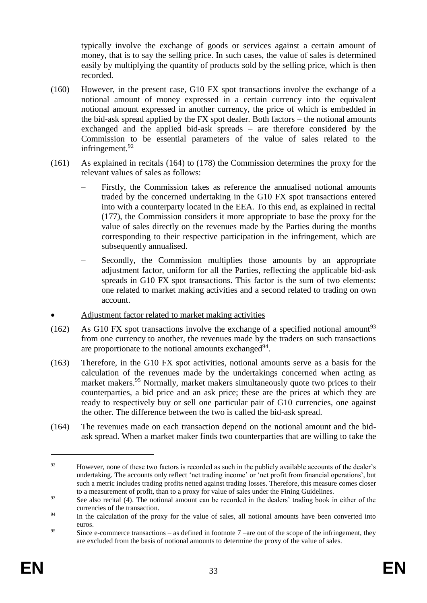typically involve the exchange of goods or services against a certain amount of money, that is to say the selling price. In such cases, the value of sales is determined easily by multiplying the quantity of products sold by the selling price, which is then recorded.

- (160) However, in the present case, G10 FX spot transactions involve the exchange of a notional amount of money expressed in a certain currency into the equivalent notional amount expressed in another currency, the price of which is embedded in the bid-ask spread applied by the FX spot dealer. Both factors – the notional amounts exchanged and the applied bid-ask spreads – are therefore considered by the Commission to be essential parameters of the value of sales related to the infringement.<sup>92</sup>
- (161) As explained in recitals [\(164\)](#page-33-0) to [\(178\)](#page-36-0) the Commission determines the proxy for the relevant values of sales as follows:
	- Firstly, the Commission takes as reference the annualised notional amounts traded by the concerned undertaking in the G10 FX spot transactions entered into with a counterparty located in the EEA. To this end, as explained in recital [\(177\),](#page-36-1) the Commission considers it more appropriate to base the proxy for the value of sales directly on the revenues made by the Parties during the months corresponding to their respective participation in the infringement, which are subsequently annualised.
	- Secondly, the Commission multiplies those amounts by an appropriate adjustment factor, uniform for all the Parties, reflecting the applicable bid-ask spreads in G10 FX spot transactions. This factor is the sum of two elements: one related to market making activities and a second related to trading on own account.
- Adjustment factor related to market making activities
- (162) As G10 FX spot transactions involve the exchange of a specified notional amount<sup>93</sup> from one currency to another, the revenues made by the traders on such transactions are proportionate to the notional amounts exchanged $94$ .
- (163) Therefore, in the G10 FX spot activities, notional amounts serve as a basis for the calculation of the revenues made by the undertakings concerned when acting as market makers.<sup>95</sup> Normally, market makers simultaneously quote two prices to their counterparties, a bid price and an ask price; these are the prices at which they are ready to respectively buy or sell one particular pair of G10 currencies, one against the other. The difference between the two is called the bid-ask spread.
- <span id="page-33-0"></span>(164) The revenues made on each transaction depend on the notional amount and the bidask spread. When a market maker finds two counterparties that are willing to take the

<u>.</u>

<sup>&</sup>lt;sup>92</sup> However, none of these two factors is recorded as such in the publicly available accounts of the dealer's undertaking. The accounts only reflect 'net trading income' or 'net profit from financial operations', but such a metric includes trading profits netted against trading losses. Therefore, this measure comes closer to a measurement of profit, than to a proxy for value of sales under the Fining Guidelines.

<sup>&</sup>lt;sup>93</sup> See also recital [\(4\).](#page-4-0) The notional amount can be recorded in the dealers' trading book in either of the currencies of the transaction.

<sup>&</sup>lt;sup>94</sup> In the calculation of the proxy for the value of sales, all notional amounts have been converted into euros.

<sup>&</sup>lt;sup>95</sup> Since e-commerce transactions – as defined in footnote  $7$  –are out of the scope of the infringement, they are excluded from the basis of notional amounts to determine the proxy of the value of sales.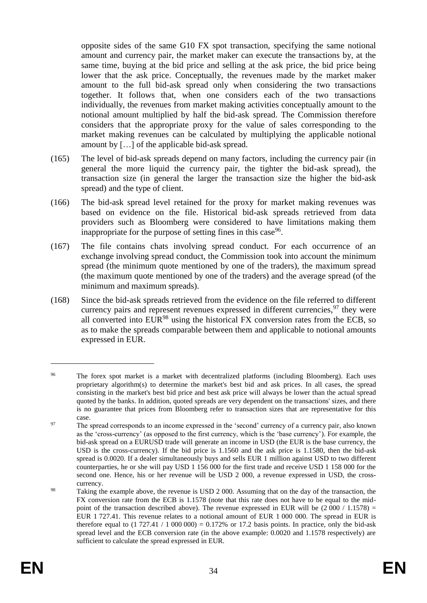opposite sides of the same G10 FX spot transaction, specifying the same notional amount and currency pair, the market maker can execute the transactions by, at the same time, buying at the bid price and selling at the ask price, the bid price being lower that the ask price. Conceptually, the revenues made by the market maker amount to the full bid-ask spread only when considering the two transactions together. It follows that, when one considers each of the two transactions individually, the revenues from market making activities conceptually amount to the notional amount multiplied by half the bid-ask spread. The Commission therefore considers that the appropriate proxy for the value of sales corresponding to the market making revenues can be calculated by multiplying the applicable notional amount by […] of the applicable bid-ask spread.

- (165) The level of bid-ask spreads depend on many factors, including the currency pair (in general the more liquid the currency pair, the tighter the bid-ask spread), the transaction size (in general the larger the transaction size the higher the bid-ask spread) and the type of client.
- (166) The bid-ask spread level retained for the proxy for market making revenues was based on evidence on the file. Historical bid-ask spreads retrieved from data providers such as Bloomberg were considered to have limitations making them inappropriate for the purpose of setting fines in this case  $96$ .
- (167) The file contains chats involving spread conduct. For each occurrence of an exchange involving spread conduct, the Commission took into account the minimum spread (the minimum quote mentioned by one of the traders), the maximum spread (the maximum quote mentioned by one of the traders) and the average spread (of the minimum and maximum spreads).
- (168) Since the bid-ask spreads retrieved from the evidence on the file referred to different currency pairs and represent revenues expressed in different currencies,  $97$  they were all converted into  $EUR<sup>98</sup>$  using the historical FX conversion rates from the ECB, so as to make the spreads comparable between them and applicable to notional amounts expressed in EUR.

<sup>96</sup> The forex spot market is a market with decentralized platforms (including Bloomberg). Each uses proprietary algorithm(s) to determine the market's best bid and ask prices. In all cases, the spread consisting in the market's best bid price and best ask price will always be lower than the actual spread quoted by the banks. In addition, quoted spreads are very dependent on the transactions' sizes, and there is no guarantee that prices from Bloomberg refer to transaction sizes that are representative for this case.

<sup>&</sup>lt;sup>97</sup> The spread corresponds to an income expressed in the 'second' currency of a currency pair, also known as the 'cross-currency' (as opposed to the first currency, which is the 'base currency'). For example, the bid-ask spread on a EURUSD trade will generate an income in USD (the EUR is the base currency, the USD is the cross-currency). If the bid price is 1.1560 and the ask price is 1.1580, then the bid-ask spread is 0.0020. If a dealer simultaneously buys and sells EUR 1 million against USD to two different counterparties, he or she will pay USD 1 156 000 for the first trade and receive USD 1 158 000 for the second one. Hence, his or her revenue will be USD 2 000, a revenue expressed in USD, the crosscurrency.

<sup>&</sup>lt;sup>98</sup> Taking the example above, the revenue is USD 2 000. Assuming that on the day of the transaction, the FX conversion rate from the ECB is 1.1578 (note that this rate does not have to be equal to the midpoint of the transaction described above). The revenue expressed in EUR will be  $(2\ 000 / 1.1578)$  = EUR 1 727.41. This revenue relates to a notional amount of EUR 1 000 000. The spread in EUR is therefore equal to  $(1 727.41 / 1 000 000) = 0.172%$  or 17.2 basis points. In practice, only the bid-ask spread level and the ECB conversion rate (in the above example: 0.0020 and 1.1578 respectively) are sufficient to calculate the spread expressed in EUR.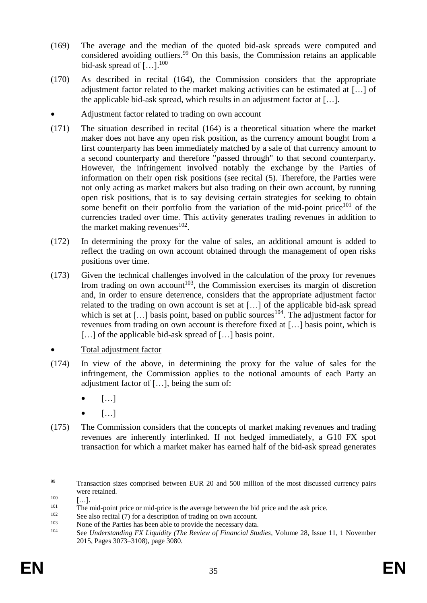- (169) The average and the median of the quoted bid-ask spreads were computed and considered avoiding outliers.<sup>99</sup> On this basis, the Commission retains an applicable bid-ask spread of  $[\dots]$ .<sup>100</sup>
- (170) As described in recital [\(164\),](#page-33-0) the Commission considers that the appropriate adjustment factor related to the market making activities can be estimated at […] of the applicable bid-ask spread, which results in an adjustment factor at […].
- Adjustment factor related to trading on own account
- (171) The situation described in recital [\(164\)](#page-33-0) is a theoretical situation where the market maker does not have any open risk position, as the currency amount bought from a first counterparty has been immediately matched by a sale of that currency amount to a second counterparty and therefore "passed through" to that second counterparty. However, the infringement involved notably the exchange by the Parties of information on their open risk positions (see recital [\(5\).](#page-4-1) Therefore, the Parties were not only acting as market makers but also trading on their own account, by running open risk positions, that is to say devising certain strategies for seeking to obtain some benefit on their portfolio from the variation of the mid-point price<sup>101</sup> of the currencies traded over time. This activity generates trading revenues in addition to the market making revenues  $102$ .
- (172) In determining the proxy for the value of sales, an additional amount is added to reflect the trading on own account obtained through the management of open risks positions over time.
- (173) Given the technical challenges involved in the calculation of the proxy for revenues from trading on own account<sup>103</sup>, the Commission exercises its margin of discretion and, in order to ensure deterrence, considers that the appropriate adjustment factor related to the trading on own account is set at […] of the applicable bid-ask spread which is set at  $[\dots]$  basis point, based on public sources<sup>104</sup>. The adjustment factor for revenues from trading on own account is therefore fixed at […] basis point, which is [...] of the applicable bid-ask spread of [...] basis point.
- Total adjustment factor
- (174) In view of the above, in determining the proxy for the value of sales for the infringement, the Commission applies to the notional amounts of each Party an adjustment factor of […], being the sum of:
	- […]
	- […]
- (175) The Commission considers that the concepts of market making revenues and trading revenues are inherently interlinked. If not hedged immediately, a G10 FX spot transaction for which a market maker has earned half of the bid-ask spread generates

<u>.</u>

<sup>&</sup>lt;sup>99</sup> Transaction sizes comprised between EUR 20 and 500 million of the most discussed currency pairs were retained.

 $\begin{bmatrix} 100 \\ 101 \end{bmatrix}$  [...].

<sup>&</sup>lt;sup>101</sup> The mid-point price or mid-price is the average between the bid price and the ask price.<br><sup>102</sup> See also regital  $(7)$  for a description of trading on our account

<sup>&</sup>lt;sup>102</sup> See also recital  $(7)$  for a description of trading on own account.<br><sup>103</sup> None of the Perties has been able to provide the persency data

<sup>&</sup>lt;sup>103</sup> None of the Parties has been able to provide the necessary data.

<sup>104</sup> See *Understanding FX Liquidity (The Review of Financial Studies*, Volume 28, Issue 11, 1 November 2015, Pages 3073–3108), page 3080.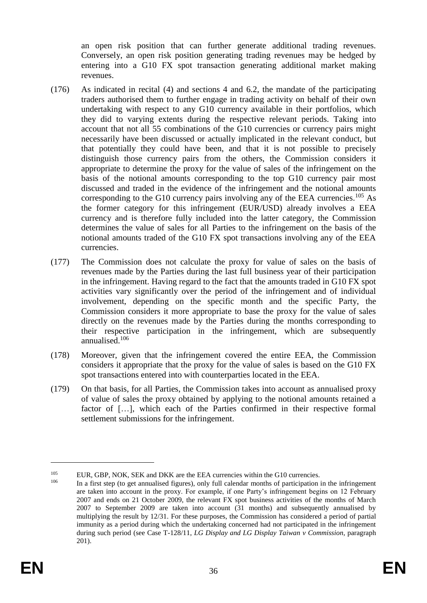an open risk position that can further generate additional trading revenues. Conversely, an open risk position generating trading revenues may be hedged by entering into a G10 FX spot transaction generating additional market making revenues.

- (176) As indicated in recital [\(4\)](#page-4-0) and sections [4](#page-9-0) and [6.2,](#page-26-1) the mandate of the participating traders authorised them to further engage in trading activity on behalf of their own undertaking with respect to any G10 currency available in their portfolios, which they did to varying extents during the respective relevant periods. Taking into account that not all 55 combinations of the G10 currencies or currency pairs might necessarily have been discussed or actually implicated in the relevant conduct, but that potentially they could have been, and that it is not possible to precisely distinguish those currency pairs from the others, the Commission considers it appropriate to determine the proxy for the value of sales of the infringement on the basis of the notional amounts corresponding to the top G10 currency pair most discussed and traded in the evidence of the infringement and the notional amounts corresponding to the G10 currency pairs involving any of the EEA currencies.<sup>105</sup> As the former category for this infringement (EUR/USD) already involves a EEA currency and is therefore fully included into the latter category, the Commission determines the value of sales for all Parties to the infringement on the basis of the notional amounts traded of the G10 FX spot transactions involving any of the EEA currencies.
- <span id="page-36-1"></span>(177) The Commission does not calculate the proxy for value of sales on the basis of revenues made by the Parties during the last full business year of their participation in the infringement. Having regard to the fact that the amounts traded in G10 FX spot activities vary significantly over the period of the infringement and of individual involvement, depending on the specific month and the specific Party, the Commission considers it more appropriate to base the proxy for the value of sales directly on the revenues made by the Parties during the months corresponding to their respective participation in the infringement, which are subsequently annualised.<sup>106</sup>
- <span id="page-36-0"></span>(178) Moreover, given that the infringement covered the entire EEA, the Commission considers it appropriate that the proxy for the value of sales is based on the G10 FX spot transactions entered into with counterparties located in the EEA.
- (179) On that basis, for all Parties, the Commission takes into account as annualised proxy of value of sales the proxy obtained by applying to the notional amounts retained a factor of […], which each of the Parties confirmed in their respective formal settlement submissions for the infringement.

<sup>&</sup>lt;sup>105</sup> EUR, GBP, NOK, SEK and DKK are the EEA currencies within the G10 currencies.<br><sup>106</sup> Eugenees and the get engulised figures), only full selected months of norticipation is

<sup>106</sup> In a first step (to get annualised figures), only full calendar months of participation in the infringement are taken into account in the proxy. For example, if one Party's infringement begins on 12 February 2007 and ends on 21 October 2009, the relevant FX spot business activities of the months of March 2007 to September 2009 are taken into account (31 months) and subsequently annualised by multiplying the result by 12/31. For these purposes, the Commission has considered a period of partial immunity as a period during which the undertaking concerned had not participated in the infringement during such period (see Case T-128/11, *LG Display and LG Display Taiwan v Commission*, paragraph 201).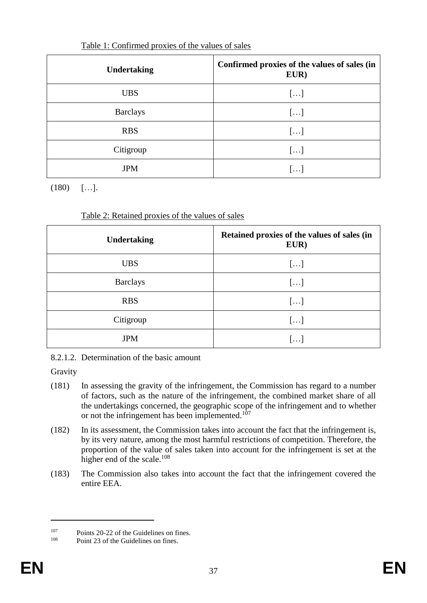|--|

| <b>Undertaking</b> | Confirmed proxies of the values of sales (in<br>EUR) |
|--------------------|------------------------------------------------------|
| <b>UBS</b>         | []                                                   |
| <b>Barclays</b>    | []                                                   |
| <b>RBS</b>         | []                                                   |
| Citigroup          | $\left[\ldots\right]$                                |
| <b>JPM</b>         | $[\ldots]$                                           |

 $(180)$  [...].

| Table 2: Retained proxies of the values of sales |  |  |  |
|--------------------------------------------------|--|--|--|
|                                                  |  |  |  |

| <b>Undertaking</b> | Retained proxies of the values of sales (in<br>EUR) |
|--------------------|-----------------------------------------------------|
| <b>UBS</b>         | []                                                  |
| <b>Barclays</b>    | []                                                  |
| <b>RBS</b>         | $[\ldots]$                                          |
| Citigroup          | []                                                  |
| <b>JPM</b>         | $  \dots  $                                         |

|  | 8.2.1.2. Determination of the basic amount |  |  |  |
|--|--------------------------------------------|--|--|--|
|--|--------------------------------------------|--|--|--|

Gravity

- (181) In assessing the gravity of the infringement, the Commission has regard to a number of factors, such as the nature of the infringement, the combined market share of all the undertakings concerned, the geographic scope of the infringement and to whether or not the infringement has been implemented.<sup>107</sup>
- (182) In its assessment, the Commission takes into account the fact that the infringement is, by its very nature, among the most harmful restrictions of competition. Therefore, the proportion of the value of sales taken into account for the infringement is set at the higher end of the scale.<sup>108</sup>
- (183) The Commission also takes into account the fact that the infringement covered the entire EEA.

<sup>&</sup>lt;sup>107</sup> Points 20-22 of the Guidelines on fines.<br><sup>108</sup> Point 23 of the Guidelines on fines.

Point 23 of the Guidelines on fines.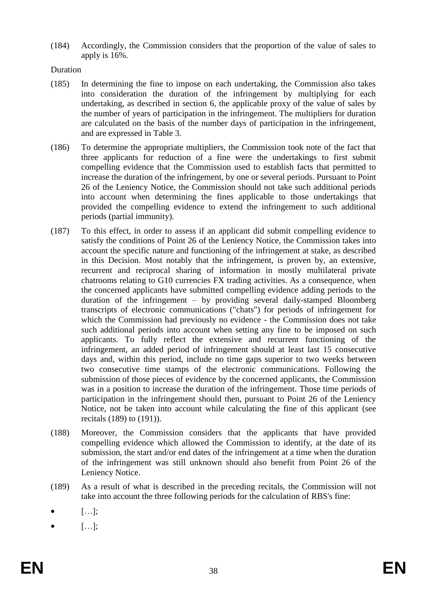(184) Accordingly, the Commission considers that the proportion of the value of sales to apply is 16%.

## Duration

- (185) In determining the fine to impose on each undertaking, the Commission also takes into consideration the duration of the infringement by multiplying for each undertaking, as described in section [6,](#page-25-0) the applicable proxy of the value of sales by the number of years of participation in the infringement. The multipliers for duration are calculated on the basis of the number days of participation in the infringement, and are expressed in Table 3.
- (186) To determine the appropriate multipliers, the Commission took note of the fact that three applicants for reduction of a fine were the undertakings to first submit compelling evidence that the Commission used to establish facts that permitted to increase the duration of the infringement, by one or several periods. Pursuant to Point 26 of the Leniency Notice, the Commission should not take such additional periods into account when determining the fines applicable to those undertakings that provided the compelling evidence to extend the infringement to such additional periods (partial immunity).
- (187) To this effect, in order to assess if an applicant did submit compelling evidence to satisfy the conditions of Point 26 of the Leniency Notice, the Commission takes into account the specific nature and functioning of the infringement at stake, as described in this Decision. Most notably that the infringement, is proven by, an extensive, recurrent and reciprocal sharing of information in mostly multilateral private chatrooms relating to G10 currencies FX trading activities. As a consequence, when the concerned applicants have submitted compelling evidence adding periods to the duration of the infringement – by providing several daily-stamped Bloomberg transcripts of electronic communications ("chats") for periods of infringement for which the Commission had previously no evidence - the Commission does not take such additional periods into account when setting any fine to be imposed on such applicants. To fully reflect the extensive and recurrent functioning of the infringement, an added period of infringement should at least last 15 consecutive days and, within this period, include no time gaps superior to two weeks between two consecutive time stamps of the electronic communications. Following the submission of those pieces of evidence by the concerned applicants, the Commission was in a position to increase the duration of the infringement. Those time periods of participation in the infringement should then, pursuant to Point 26 of the Leniency Notice, not be taken into account while calculating the fine of this applicant (see recitals [\(189\)](#page-38-0) to [\(191\)\)](#page-39-0).
- (188) Moreover, the Commission considers that the applicants that have provided compelling evidence which allowed the Commission to identify, at the date of its submission, the start and/or end dates of the infringement at a time when the duration of the infringement was still unknown should also benefit from Point 26 of the Leniency Notice.
- <span id="page-38-0"></span>(189) As a result of what is described in the preceding recitals, the Commission will not take into account the three following periods for the calculation of RBS's fine:
- […];
- […];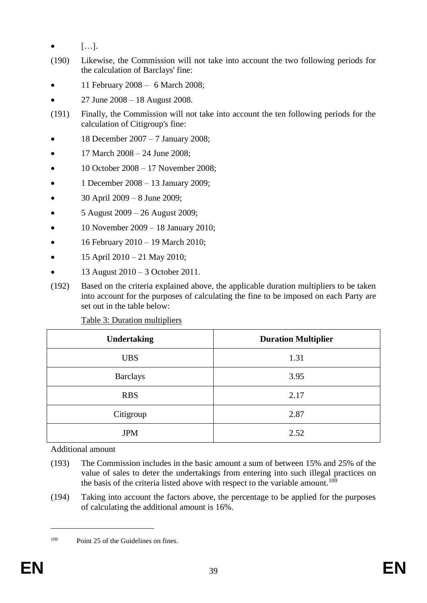- […].
- (190) Likewise, the Commission will not take into account the two following periods for the calculation of Barclays' fine:
- 11 February 2008 6 March 2008;
- 27 June 2008 18 August 2008.
- <span id="page-39-0"></span>(191) Finally, the Commission will not take into account the ten following periods for the calculation of Citigroup's fine:
- 18 December 2007 7 January 2008;
- 17 March 2008 24 June 2008;
- 10 October 2008 17 November 2008;
- 1 December 2008 13 January 2009;
- $\bullet$  30 April 2009 8 June 2009;
- 5 August 2009 26 August 2009;
- $\bullet$  10 November 2009 18 January 2010;
- $\bullet$  16 February 2010 19 March 2010;
- $\bullet$  15 April 2010 21 May 2010;
- 13 August 2010 3 October 2011.
- (192) Based on the criteria explained above, the applicable duration multipliers to be taken into account for the purposes of calculating the fine to be imposed on each Party are set out in the table below:

# Table 3: Duration multipliers

| <b>Undertaking</b> | <b>Duration Multiplier</b> |
|--------------------|----------------------------|
| <b>UBS</b>         | 1.31                       |
| <b>Barclays</b>    | 3.95                       |
| <b>RBS</b>         | 2.17                       |
| Citigroup          | 2.87                       |
| <b>JPM</b>         | 2.52                       |

Additional amount

- (193) The Commission includes in the basic amount a sum of between 15% and 25% of the value of sales to deter the undertakings from entering into such illegal practices on the basis of the criteria listed above with respect to the variable amount.<sup>109</sup>
- (194) Taking into account the factors above, the percentage to be applied for the purposes of calculating the additional amount is 16%.

<u>.</u>

<sup>109</sup> Point 25 of the Guidelines on fines.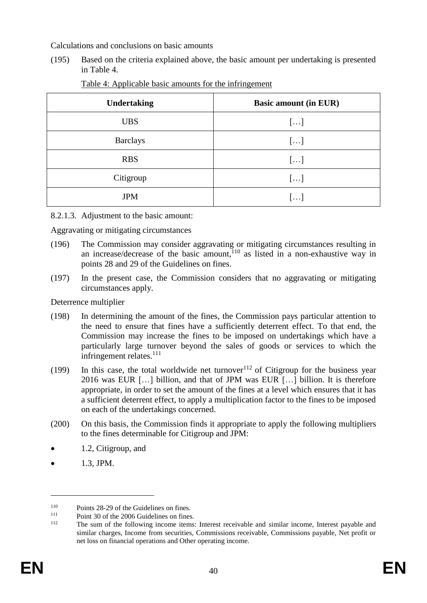Calculations and conclusions on basic amounts

(195) Based on the criteria explained above, the basic amount per undertaking is presented in Table 4.

| <b>Undertaking</b> | <b>Basic amount (in EUR)</b> |
|--------------------|------------------------------|
| <b>UBS</b>         | []                           |
| <b>Barclays</b>    | []                           |
| <b>RBS</b>         | []                           |
| Citigroup          | []                           |
| <b>JPM</b>         | $\left[\ldots\right]$        |

Table 4: Applicable basic amounts for the infringement

8.2.1.3. Adjustment to the basic amount:

Aggravating or mitigating circumstances

- (196) The Commission may consider aggravating or mitigating circumstances resulting in an increase/decrease of the basic amount,<sup>110</sup> as listed in a non-exhaustive way in points 28 and 29 of the Guidelines on fines.
- (197) In the present case, the Commission considers that no aggravating or mitigating circumstances apply.

Deterrence multiplier

- (198) In determining the amount of the fines, the Commission pays particular attention to the need to ensure that fines have a sufficiently deterrent effect. To that end, the Commission may increase the fines to be imposed on undertakings which have a particularly large turnover beyond the sales of goods or services to which the infringement relates.<sup>111</sup>
- (199) In this case, the total worldwide net turnover<sup>112</sup> of Citigroup for the business year 2016 was EUR […] billion, and that of JPM was EUR […] billion. It is therefore appropriate, in order to set the amount of the fines at a level which ensures that it has a sufficient deterrent effect, to apply a multiplication factor to the fines to be imposed on each of the undertakings concerned.
- (200) On this basis, the Commission finds it appropriate to apply the following multipliers to the fines determinable for Citigroup and JPM:
- 1.2, Citigroup, and
- 1.3, JPM.

<sup>&</sup>lt;sup>110</sup> Points 28-29 of the Guidelines on fines.<br><sup>111</sup> Point 20 of the 2006 Guidelines on fines

 $111$  Point 30 of the 2006 Guidelines on fines.<br> $112$  The sum of the following income items

<sup>112</sup> The sum of the following income items: Interest receivable and similar income, Interest payable and similar charges, Income from securities, Commissions receivable, Commissions payable, Net profit or net loss on financial operations and Other operating income.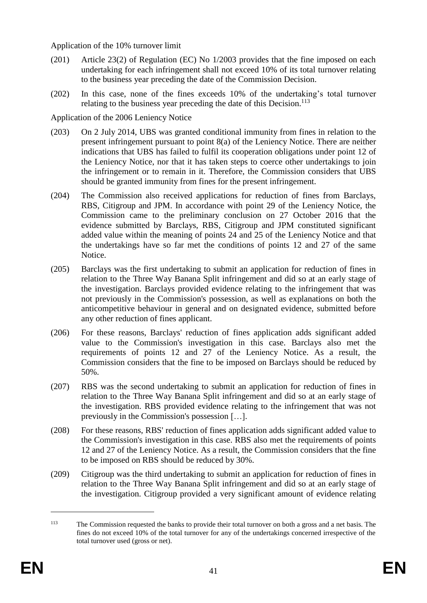Application of the 10% turnover limit

- (201) Article 23(2) of Regulation (EC) No 1/2003 provides that the fine imposed on each undertaking for each infringement shall not exceed 10% of its total turnover relating to the business year preceding the date of the Commission Decision.
- (202) In this case, none of the fines exceeds 10% of the undertaking's total turnover relating to the business year preceding the date of this Decision.<sup>113</sup>

# Application of the 2006 Leniency Notice

- (203) On 2 July 2014, UBS was granted conditional immunity from fines in relation to the present infringement pursuant to point 8(a) of the Leniency Notice. There are neither indications that UBS has failed to fulfil its cooperation obligations under point 12 of the Leniency Notice, nor that it has taken steps to coerce other undertakings to join the infringement or to remain in it. Therefore, the Commission considers that UBS should be granted immunity from fines for the present infringement.
- (204) The Commission also received applications for reduction of fines from Barclays, RBS, Citigroup and JPM. In accordance with point 29 of the Leniency Notice, the Commission came to the preliminary conclusion on 27 October 2016 that the evidence submitted by Barclays, RBS, Citigroup and JPM constituted significant added value within the meaning of points 24 and 25 of the Leniency Notice and that the undertakings have so far met the conditions of points 12 and 27 of the same Notice.
- (205) Barclays was the first undertaking to submit an application for reduction of fines in relation to the Three Way Banana Split infringement and did so at an early stage of the investigation. Barclays provided evidence relating to the infringement that was not previously in the Commission's possession, as well as explanations on both the anticompetitive behaviour in general and on designated evidence, submitted before any other reduction of fines applicant.
- (206) For these reasons, Barclays' reduction of fines application adds significant added value to the Commission's investigation in this case. Barclays also met the requirements of points 12 and 27 of the Leniency Notice. As a result, the Commission considers that the fine to be imposed on Barclays should be reduced by 50%.
- (207) RBS was the second undertaking to submit an application for reduction of fines in relation to the Three Way Banana Split infringement and did so at an early stage of the investigation. RBS provided evidence relating to the infringement that was not previously in the Commission's possession […].
- (208) For these reasons, RBS' reduction of fines application adds significant added value to the Commission's investigation in this case. RBS also met the requirements of points 12 and 27 of the Leniency Notice. As a result, the Commission considers that the fine to be imposed on RBS should be reduced by 30%.
- (209) Citigroup was the third undertaking to submit an application for reduction of fines in relation to the Three Way Banana Split infringement and did so at an early stage of the investigation. Citigroup provided a very significant amount of evidence relating

<sup>113</sup> The Commission requested the banks to provide their total turnover on both a gross and a net basis. The fines do not exceed 10% of the total turnover for any of the undertakings concerned irrespective of the total turnover used (gross or net).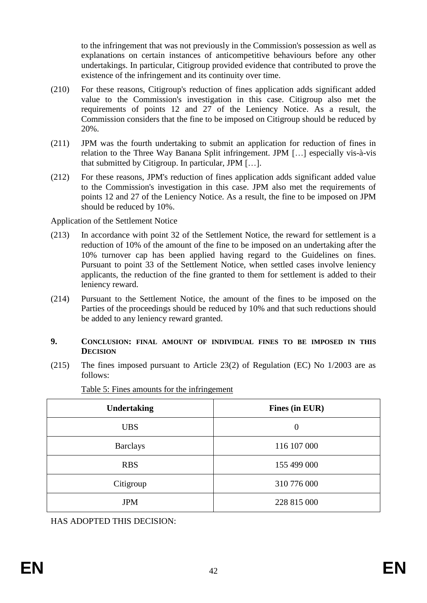to the infringement that was not previously in the Commission's possession as well as explanations on certain instances of anticompetitive behaviours before any other undertakings. In particular, Citigroup provided evidence that contributed to prove the existence of the infringement and its continuity over time.

- (210) For these reasons, Citigroup's reduction of fines application adds significant added value to the Commission's investigation in this case. Citigroup also met the requirements of points 12 and 27 of the Leniency Notice. As a result, the Commission considers that the fine to be imposed on Citigroup should be reduced by 20%.
- (211) JPM was the fourth undertaking to submit an application for reduction of fines in relation to the Three Way Banana Split infringement. JPM […] especially vis-à-vis that submitted by Citigroup. In particular, JPM […].
- (212) For these reasons, JPM's reduction of fines application adds significant added value to the Commission's investigation in this case. JPM also met the requirements of points 12 and 27 of the Leniency Notice. As a result, the fine to be imposed on JPM should be reduced by 10%.

Application of the Settlement Notice

- (213) In accordance with point 32 of the Settlement Notice, the reward for settlement is a reduction of 10% of the amount of the fine to be imposed on an undertaking after the 10% turnover cap has been applied having regard to the Guidelines on fines. Pursuant to point 33 of the Settlement Notice, when settled cases involve leniency applicants, the reduction of the fine granted to them for settlement is added to their leniency reward.
- (214) Pursuant to the Settlement Notice, the amount of the fines to be imposed on the Parties of the proceedings should be reduced by 10% and that such reductions should be added to any leniency reward granted.

## **9. CONCLUSION: FINAL AMOUNT OF INDIVIDUAL FINES TO BE IMPOSED IN THIS DECISION**

(215) The fines imposed pursuant to Article 23(2) of Regulation (EC) No 1/2003 are as follows:

| <b>Undertaking</b> | Fines (in EUR) |
|--------------------|----------------|
| <b>UBS</b>         | $\theta$       |
| <b>Barclays</b>    | 116 107 000    |
| <b>RBS</b>         | 155 499 000    |
| Citigroup          | 310 776 000    |
| <b>JPM</b>         | 228 815 000    |

Table 5: Fines amounts for the infringement

HAS ADOPTED THIS DECISION: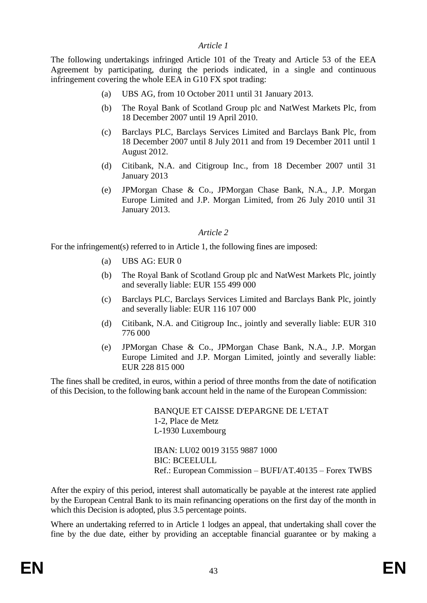## *Article 1*

The following undertakings infringed Article 101 of the Treaty and Article 53 of the EEA Agreement by participating, during the periods indicated, in a single and continuous infringement covering the whole EEA in G10 FX spot trading:

- (a) UBS AG, from 10 October 2011 until 31 January 2013.
- (b) The Royal Bank of Scotland Group plc and NatWest Markets Plc, from 18 December 2007 until 19 April 2010.
- (c) Barclays PLC, Barclays Services Limited and Barclays Bank Plc, from 18 December 2007 until 8 July 2011 and from 19 December 2011 until 1 August 2012.
- (d) Citibank, N.A. and Citigroup Inc., from 18 December 2007 until 31 January 2013
- (e) JPMorgan Chase & Co., JPMorgan Chase Bank, N.A., J.P. Morgan Europe Limited and J.P. Morgan Limited, from 26 July 2010 until 31 January 2013.

#### *Article 2*

For the infringement(s) referred to in Article 1, the following fines are imposed:

- (a) UBS AG: EUR 0
- (b) The Royal Bank of Scotland Group plc and NatWest Markets Plc, jointly and severally liable: EUR 155 499 000
- (c) Barclays PLC, Barclays Services Limited and Barclays Bank Plc, jointly and severally liable: EUR 116 107 000
- (d) Citibank, N.A. and Citigroup Inc., jointly and severally liable: EUR 310 776 000
- (e) JPMorgan Chase & Co., JPMorgan Chase Bank, N.A., J.P. Morgan Europe Limited and J.P. Morgan Limited, jointly and severally liable: EUR 228 815 000

The fines shall be credited, in euros, within a period of three months from the date of notification of this Decision, to the following bank account held in the name of the European Commission:

> BANQUE ET CAISSE D'EPARGNE DE L'ETAT 1-2, Place de Metz L-1930 Luxembourg IBAN: LU02 0019 3155 9887 1000 BIC: BCEELULL Ref.: European Commission – BUFI/AT.40135 – Forex TWBS

After the expiry of this period, interest shall automatically be payable at the interest rate applied by the European Central Bank to its main refinancing operations on the first day of the month in which this Decision is adopted, plus 3.5 percentage points.

Where an undertaking referred to in Article 1 lodges an appeal, that undertaking shall cover the fine by the due date, either by providing an acceptable financial guarantee or by making a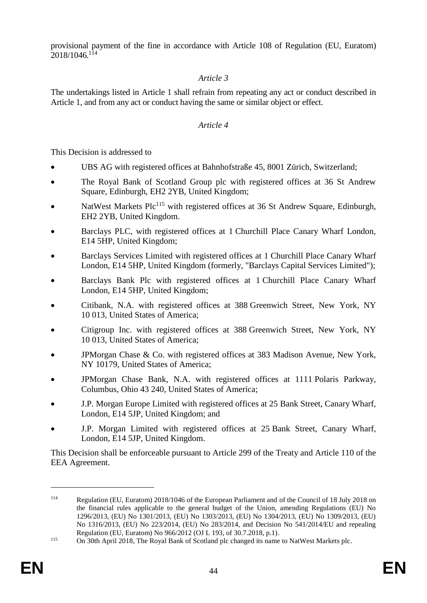provisional payment of the fine in accordance with Article 108 of Regulation (EU, Euratom)  $2018/1046$ <sup>114</sup>

## *Article 3*

The undertakings listed in Article 1 shall refrain from repeating any act or conduct described in Article 1, and from any act or conduct having the same or similar object or effect.

## *Article 4*

This Decision is addressed to

- UBS AG with registered offices at Bahnhofstraße 45, 8001 Zürich, Switzerland;
- The Royal Bank of Scotland Group plc with registered offices at 36 St Andrew Square, Edinburgh, EH2 2YB, United Kingdom;
- NatWest Markets Plc<sup>115</sup> with registered offices at 36 St Andrew Square, Edinburgh, EH2 2YB, United Kingdom.
- Barclays PLC, with registered offices at 1 Churchill Place Canary Wharf London, E14 5HP, United Kingdom;
- Barclays Services Limited with registered offices at 1 Churchill Place Canary Wharf London, E14 5HP, United Kingdom (formerly, "Barclays Capital Services Limited");
- Barclays Bank Plc with registered offices at 1 Churchill Place Canary Wharf London, E14 5HP, United Kingdom;
- Citibank, N.A. with registered offices at 388 Greenwich Street, New York, NY 10 013, United States of America;
- Citigroup Inc. with registered offices at 388 Greenwich Street, New York, NY 10 013, United States of America;
- JPMorgan Chase & Co. with registered offices at 383 Madison Avenue, New York, NY 10179, United States of America;
- JPMorgan Chase Bank, N.A. with registered offices at 1111 Polaris Parkway, Columbus, Ohio 43 240, United States of America;
- J.P. Morgan Europe Limited with registered offices at 25 Bank Street, Canary Wharf, London, E14 5JP, United Kingdom; and
- J.P. Morgan Limited with registered offices at 25 Bank Street, Canary Wharf, London, E14 5JP, United Kingdom.

This Decision shall be enforceable pursuant to Article 299 of the Treaty and Article 110 of the EEA Agreement.

<sup>114</sup> Regulation (EU, Euratom) 2018/1046 of the European Parliament and of the Council of 18 July 2018 on the financial rules applicable to the general budget of the Union, amending Regulations (EU) No 1296/2013, (EU) No 1301/2013, (EU) No 1303/2013, (EU) No 1304/2013, (EU) No 1309/2013, (EU) No 1316/2013, (EU) No 223/2014, (EU) No 283/2014, and Decision No 541/2014/EU and repealing Regulation (EU, Euratom) No 966/2012 (OJ L 193, of 30.7.2018, p.1).

<sup>&</sup>lt;sup>115</sup> On 30th April 2018, The Royal Bank of Scotland plc changed its name to NatWest Markets plc.